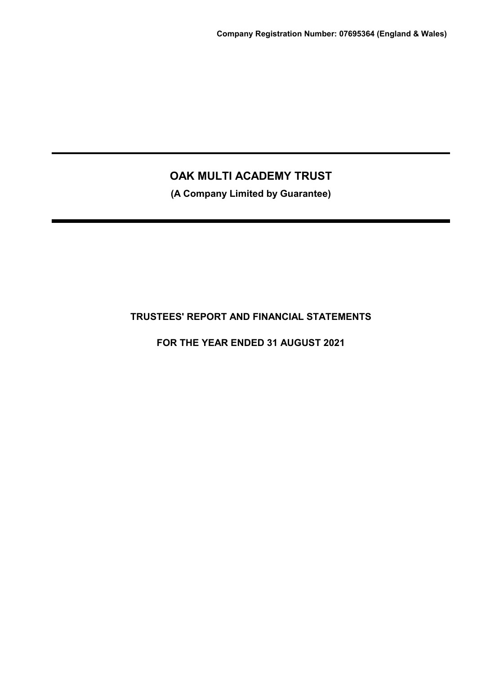**(A Company Limited by Guarantee)**

## **TRUSTEES' REPORT AND FINANCIAL STATEMENTS**

**FOR THE YEAR ENDED 31 AUGUST 2021**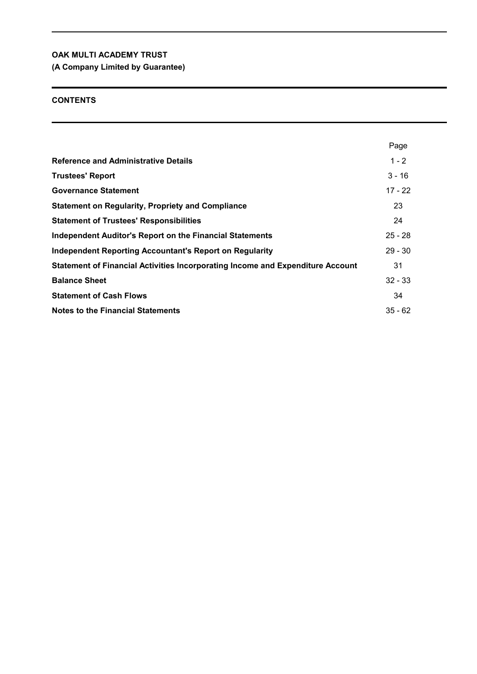**(A Company Limited by Guarantee)**

## **CONTENTS**

|                                                                                | Page      |
|--------------------------------------------------------------------------------|-----------|
| <b>Reference and Administrative Details</b>                                    | $1 - 2$   |
| <b>Trustees' Report</b>                                                        | $3 - 16$  |
| <b>Governance Statement</b>                                                    | $17 - 22$ |
| <b>Statement on Regularity, Propriety and Compliance</b>                       | 23        |
| <b>Statement of Trustees' Responsibilities</b>                                 | 24        |
| <b>Independent Auditor's Report on the Financial Statements</b>                | $25 - 28$ |
| <b>Independent Reporting Accountant's Report on Regularity</b>                 | $29 - 30$ |
| Statement of Financial Activities Incorporating Income and Expenditure Account | 31        |
| <b>Balance Sheet</b>                                                           | $32 - 33$ |
| <b>Statement of Cash Flows</b>                                                 | 34        |
| <b>Notes to the Financial Statements</b>                                       | $35 - 62$ |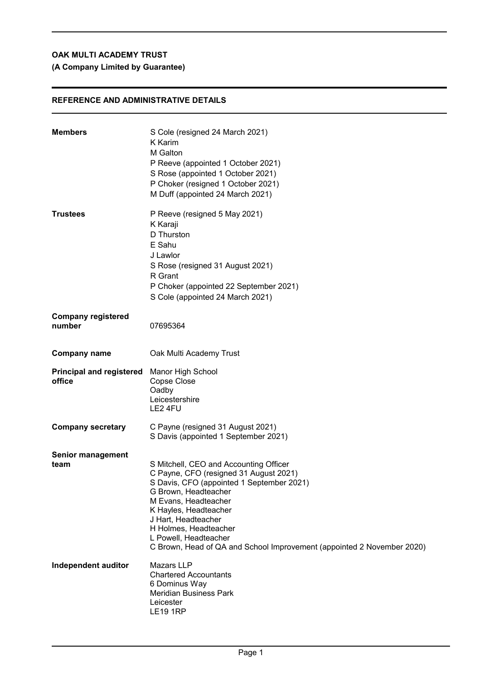## **(A Company Limited by Guarantee)**

## **REFERENCE AND ADMINISTRATIVE DETAILS**

| <b>Members</b>                            | S Cole (resigned 24 March 2021)<br>K Karim<br>M Galton<br>P Reeve (appointed 1 October 2021)<br>S Rose (appointed 1 October 2021)<br>P Choker (resigned 1 October 2021)<br>M Duff (appointed 24 March 2021)                                                                                                                                               |
|-------------------------------------------|-----------------------------------------------------------------------------------------------------------------------------------------------------------------------------------------------------------------------------------------------------------------------------------------------------------------------------------------------------------|
| <b>Trustees</b>                           | P Reeve (resigned 5 May 2021)<br>K Karaji<br>D Thurston<br>E Sahu<br>J Lawlor<br>S Rose (resigned 31 August 2021)<br>R Grant<br>P Choker (appointed 22 September 2021)<br>S Cole (appointed 24 March 2021)                                                                                                                                                |
| <b>Company registered</b><br>number       | 07695364                                                                                                                                                                                                                                                                                                                                                  |
| <b>Company name</b>                       | Oak Multi Academy Trust                                                                                                                                                                                                                                                                                                                                   |
| <b>Principal and registered</b><br>office | Manor High School<br>Copse Close<br>Oadby<br>Leicestershire<br>LE2 4FU                                                                                                                                                                                                                                                                                    |
| <b>Company secretary</b>                  | C Payne (resigned 31 August 2021)<br>S Davis (appointed 1 September 2021)                                                                                                                                                                                                                                                                                 |
| <b>Senior management</b><br>team          | S Mitchell, CEO and Accounting Officer<br>C Payne, CFO (resigned 31 August 2021)<br>S Davis, CFO (appointed 1 September 2021)<br>G Brown, Headteacher<br>M Evans, Headteacher<br>K Hayles, Headteacher<br>J Hart, Headteacher<br>H Holmes, Headteacher<br>L Powell, Headteacher<br>C Brown, Head of QA and School Improvement (appointed 2 November 2020) |
| Independent auditor                       | Mazars LLP<br><b>Chartered Accountants</b><br>6 Dominus Way<br><b>Meridian Business Park</b><br>Leicester<br><b>LE19 1RP</b>                                                                                                                                                                                                                              |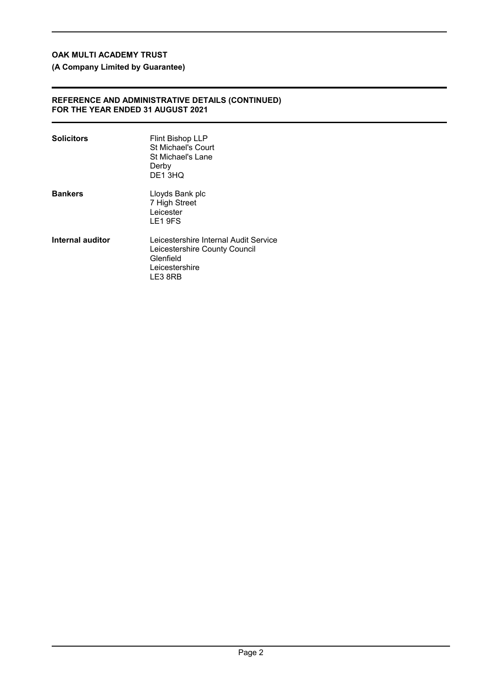**(A Company Limited by Guarantee)**

### **REFERENCE AND ADMINISTRATIVE DETAILS (CONTINUED) FOR THE YEAR ENDED 31 AUGUST 2021**

| <b>Solicitors</b> | <b>Flint Bishop LLP</b><br>St Michael's Court<br>St Michael's Lane<br>Derby<br>DE13HQ                            |
|-------------------|------------------------------------------------------------------------------------------------------------------|
| <b>Bankers</b>    | Lloyds Bank plc<br>7 High Street<br>Leicester<br>LE1 9FS                                                         |
| Internal auditor  | Leicestershire Internal Audit Service<br>Leicestershire County Council<br>Glenfield<br>Leicestershire<br>LE3 8RB |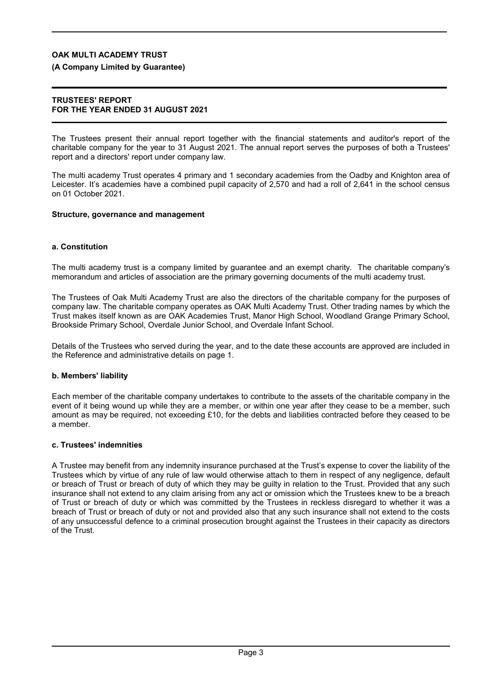### **(A Company Limited by Guarantee)**

### **TRUSTEES' REPORT FOR THE YEAR ENDED 31 AUGUST 2021**

The Trustees present their annual report together with the financial statements and auditor's report of the charitable company for the year to 31 August 2021. The annual report serves the purposes of both a Trustees' report and a directors' report under company law.

The multi academy Trust operates 4 primary and 1 secondary academies from the Oadby and Knighton area of Leicester. It's academies have a combined pupil capacity of 2,570 and had a roll of 2,641 in the school census on 01 October 2021.

#### **Structure, governance and management**

### **a. Constitution**

The multi academy trust is a company limited by guarantee and an exempt charity. The charitable company's memorandum and articles of association are the primary governing documents of the multi academy trust.

The Trustees of Oak Multi Academy Trust are also the directors of the charitable company for the purposes of company law. The charitable company operates as OAK Multi Academy Trust. Other trading names by which the Trust makes itself known as are OAK Academies Trust, Manor High School, Woodland Grange Primary School, Brookside Primary School, Overdale Junior School, and Overdale Infant School.

Details of the Trustees who served during the year, and to the date these accounts are approved are included in the Reference and administrative details on page 1.

#### **b. Members' liability**

Each member of the charitable company undertakes to contribute to the assets of the charitable company in the event of it being wound up while they are a member, or within one year after they cease to be a member, such amount as may be required, not exceeding £10, for the debts and liabilities contracted before they ceased to be a member.

### **c. Trustees' indemnities**

A Trustee may benefit from any indemnity insurance purchased at the Trust's expense to cover the liability of the Trustees which by virtue of any rule of law would otherwise attach to them in respect of any negligence, default or breach of Trust or breach of duty of which they may be guilty in relation to the Trust. Provided that any such insurance shall not extend to any claim arising from any act or omission which the Trustees knew to be a breach of Trust or breach of duty or which was committed by the Trustees in reckless disregard to whether it was a breach of Trust or breach of duty or not and provided also that any such insurance shall not extend to the costs of any unsuccessful defence to a criminal prosecution brought against the Trustees in their capacity as directors of the Trust.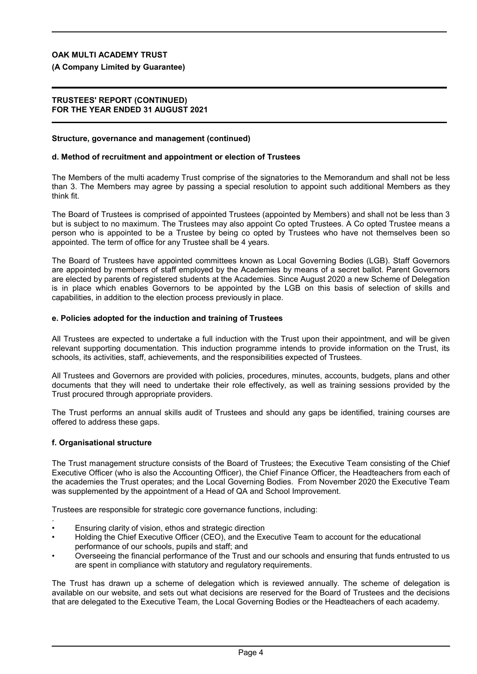### **(A Company Limited by Guarantee)**

### **TRUSTEES' REPORT (CONTINUED) FOR THE YEAR ENDED 31 AUGUST 2021**

#### **Structure, governance and management (continued)**

#### **d. Method of recruitment and appointment or election of Trustees**

The Members of the multi academy Trust comprise of the signatories to the Memorandum and shall not be less than 3. The Members may agree by passing a special resolution to appoint such additional Members as they think fit.

The Board of Trustees is comprised of appointed Trustees (appointed by Members) and shall not be less than 3 but is subject to no maximum. The Trustees may also appoint Co opted Trustees. A Co opted Trustee means a person who is appointed to be a Trustee by being co opted by Trustees who have not themselves been so appointed. The term of office for any Trustee shall be 4 years.

The Board of Trustees have appointed committees known as Local Governing Bodies (LGB). Staff Governors are appointed by members of staff employed by the Academies by means of a secret ballot. Parent Governors are elected by parents of registered students at the Academies. Since August 2020 a new Scheme of Delegation is in place which enables Governors to be appointed by the LGB on this basis of selection of skills and capabilities, in addition to the election process previously in place.

#### **e. Policies adopted for the induction and training of Trustees**

All Trustees are expected to undertake a full induction with the Trust upon their appointment, and will be given relevant supporting documentation. This induction programme intends to provide information on the Trust, its schools, its activities, staff, achievements, and the responsibilities expected of Trustees.

All Trustees and Governors are provided with policies, procedures, minutes, accounts, budgets, plans and other documents that they will need to undertake their role effectively, as well as training sessions provided by the Trust procured through appropriate providers.

The Trust performs an annual skills audit of Trustees and should any gaps be identified, training courses are offered to address these gaps.

### **f. Organisational structure**

The Trust management structure consists of the Board of Trustees; the Executive Team consisting of the Chief Executive Officer (who is also the Accounting Officer), the Chief Finance Officer, the Headteachers from each of the academies the Trust operates; and the Local Governing Bodies. From November 2020 the Executive Team was supplemented by the appointment of a Head of QA and School Improvement.

Trustees are responsible for strategic core governance functions, including:

- . • Ensuring clarity of vision, ethos and strategic direction
- Holding the Chief Executive Officer (CEO), and the Executive Team to account for the educational performance of our schools, pupils and staff; and
- Overseeing the financial performance of the Trust and our schools and ensuring that funds entrusted to us are spent in compliance with statutory and regulatory requirements.

The Trust has drawn up a scheme of delegation which is reviewed annually. The scheme of delegation is available on our website, and sets out what decisions are reserved for the Board of Trustees and the decisions that are delegated to the Executive Team, the Local Governing Bodies or the Headteachers of each academy.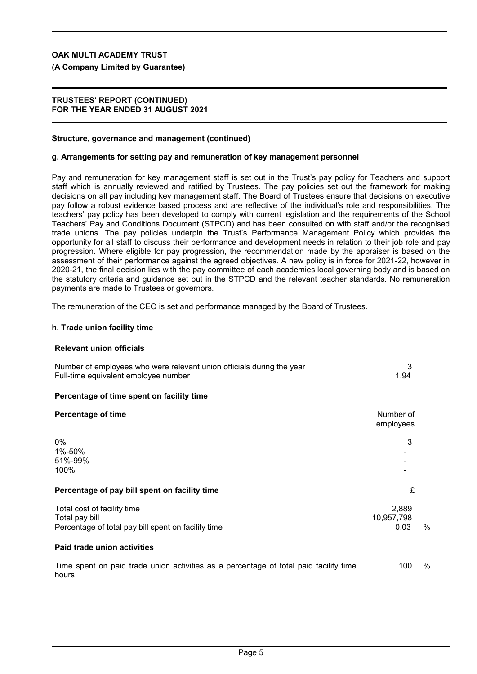**(A Company Limited by Guarantee)**

### **TRUSTEES' REPORT (CONTINUED) FOR THE YEAR ENDED 31 AUGUST 2021**

### **Structure, governance and management (continued)**

#### **g. Arrangements for setting pay and remuneration of key management personnel**

Pay and remuneration for key management staff is set out in the Trust's pay policy for Teachers and support staff which is annually reviewed and ratified by Trustees. The pay policies set out the framework for making decisions on all pay including key management staff. The Board of Trustees ensure that decisions on executive pay follow a robust evidence based process and are reflective of the individual's role and responsibilities. The teachers' pay policy has been developed to comply with current legislation and the requirements of the School Teachers' Pay and Conditions Document (STPCD) and has been consulted on with staff and/or the recognised trade unions. The pay policies underpin the Trust's Performance Management Policy which provides the opportunity for all staff to discuss their performance and development needs in relation to their job role and pay progression. Where eligible for pay progression, the recommendation made by the appraiser is based on the assessment of their performance against the agreed objectives. A new policy is in force for 2021-22, however in 2020-21, the final decision lies with the pay committee of each academies local governing body and is based on the statutory criteria and guidance set out in the STPCD and the relevant teacher standards. No remuneration payments are made to Trustees or governors.

The remuneration of the CEO is set and performance managed by the Board of Trustees.

#### **h. Trade union facility time**

#### **Relevant union officials**

| Number of employees who were relevant union officials during the year<br>Full-time equivalent employee number | 3<br>1.94                   |      |
|---------------------------------------------------------------------------------------------------------------|-----------------------------|------|
| Percentage of time spent on facility time                                                                     |                             |      |
| <b>Percentage of time</b>                                                                                     | Number of<br>employees      |      |
| $0\%$<br>1%-50%<br>51%-99%<br>100%                                                                            | 3                           |      |
| Percentage of pay bill spent on facility time                                                                 | £                           |      |
| Total cost of facility time<br>Total pay bill<br>Percentage of total pay bill spent on facility time          | 2,889<br>10,957,798<br>0.03 | $\%$ |
| Paid trade union activities                                                                                   |                             |      |
| Time spent on paid trade union activities as a percentage of total paid facility time<br>hours                | 100                         | %    |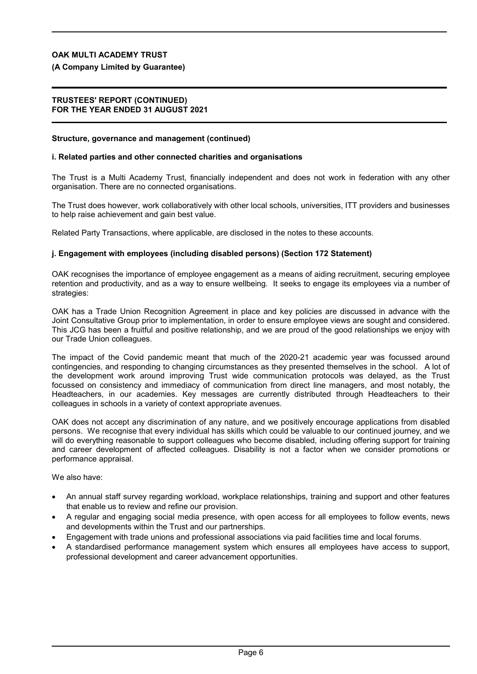**(A Company Limited by Guarantee)**

### **TRUSTEES' REPORT (CONTINUED) FOR THE YEAR ENDED 31 AUGUST 2021**

#### **Structure, governance and management (continued)**

#### **i. Related parties and other connected charities and organisations**

The Trust is a Multi Academy Trust, financially independent and does not work in federation with any other organisation. There are no connected organisations.

The Trust does however, work collaboratively with other local schools, universities, ITT providers and businesses to help raise achievement and gain best value.

Related Party Transactions, where applicable, are disclosed in the notes to these accounts.

#### **j. Engagement with employees (including disabled persons) (Section 172 Statement)**

OAK recognises the importance of employee engagement as a means of aiding recruitment, securing employee retention and productivity, and as a way to ensure wellbeing. It seeks to engage its employees via a number of strategies:

OAK has a Trade Union Recognition Agreement in place and key policies are discussed in advance with the Joint Consultative Group prior to implementation, in order to ensure employee views are sought and considered. This JCG has been a fruitful and positive relationship, and we are proud of the good relationships we enjoy with our Trade Union colleagues.

The impact of the Covid pandemic meant that much of the 2020-21 academic year was focussed around contingencies, and responding to changing circumstances as they presented themselves in the school. A lot of the development work around improving Trust wide communication protocols was delayed, as the Trust focussed on consistency and immediacy of communication from direct line managers, and most notably, the Headteachers, in our academies. Key messages are currently distributed through Headteachers to their colleagues in schools in a variety of context appropriate avenues.

OAK does not accept any discrimination of any nature, and we positively encourage applications from disabled persons. We recognise that every individual has skills which could be valuable to our continued journey, and we will do everything reasonable to support colleagues who become disabled, including offering support for training and career development of affected colleagues. Disability is not a factor when we consider promotions or performance appraisal.

We also have:

- An annual staff survey regarding workload, workplace relationships, training and support and other features that enable us to review and refine our provision.
- A regular and engaging social media presence, with open access for all employees to follow events, news and developments within the Trust and our partnerships.
- Engagement with trade unions and professional associations via paid facilities time and local forums.
- A standardised performance management system which ensures all employees have access to support, professional development and career advancement opportunities.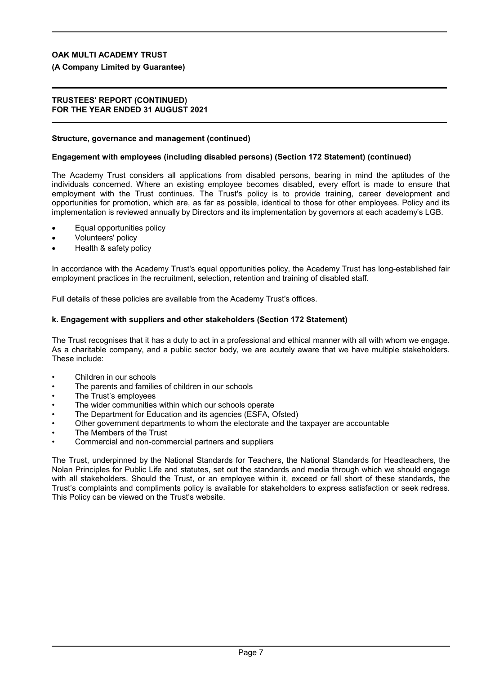### **(A Company Limited by Guarantee)**

### **TRUSTEES' REPORT (CONTINUED) FOR THE YEAR ENDED 31 AUGUST 2021**

### **Structure, governance and management (continued)**

### **Engagement with employees (including disabled persons) (Section 172 Statement) (continued)**

The Academy Trust considers all applications from disabled persons, bearing in mind the aptitudes of the individuals concerned. Where an existing employee becomes disabled, every effort is made to ensure that employment with the Trust continues. The Trust's policy is to provide training, career development and opportunities for promotion, which are, as far as possible, identical to those for other employees. Policy and its implementation is reviewed annually by Directors and its implementation by governors at each academy's LGB.

- Equal opportunities policy
- Volunteers' policy
- Health & safety policy

In accordance with the Academy Trust's equal opportunities policy, the Academy Trust has long-established fair employment practices in the recruitment, selection, retention and training of disabled staff.

Full details of these policies are available from the Academy Trust's offices.

### **k. Engagement with suppliers and other stakeholders (Section 172 Statement)**

The Trust recognises that it has a duty to act in a professional and ethical manner with all with whom we engage. As a charitable company, and a public sector body, we are acutely aware that we have multiple stakeholders. These include:

- Children in our schools
- The parents and families of children in our schools
- The Trust's employees
- The wider communities within which our schools operate
- The Department for Education and its agencies (ESFA, Ofsted)
- Other government departments to whom the electorate and the taxpayer are accountable
- The Members of the Trust
- Commercial and non-commercial partners and suppliers

The Trust, underpinned by the National Standards for Teachers, the National Standards for Headteachers, the Nolan Principles for Public Life and statutes, set out the standards and media through which we should engage with all stakeholders. Should the Trust, or an employee within it, exceed or fall short of these standards, the Trust's complaints and compliments policy is available for stakeholders to express satisfaction or seek redress. This Policy can be viewed on the Trust's website.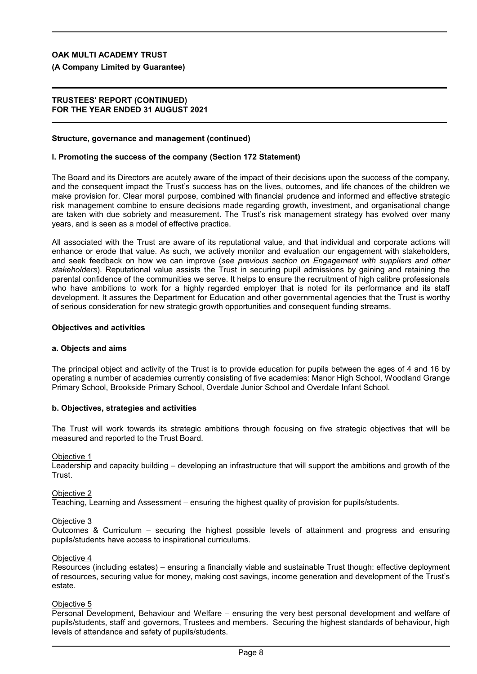**(A Company Limited by Guarantee)**

### **TRUSTEES' REPORT (CONTINUED) FOR THE YEAR ENDED 31 AUGUST 2021**

#### **Structure, governance and management (continued)**

#### **l. Promoting the success of the company (Section 172 Statement)**

The Board and its Directors are acutely aware of the impact of their decisions upon the success of the company, and the consequent impact the Trust's success has on the lives, outcomes, and life chances of the children we make provision for. Clear moral purpose, combined with financial prudence and informed and effective strategic risk management combine to ensure decisions made regarding growth, investment, and organisational change are taken with due sobriety and measurement. The Trust's risk management strategy has evolved over many years, and is seen as a model of effective practice.

All associated with the Trust are aware of its reputational value, and that individual and corporate actions will enhance or erode that value. As such, we actively monitor and evaluation our engagement with stakeholders, and seek feedback on how we can improve (*see previous section on Engagement with suppliers and other stakeholders*). Reputational value assists the Trust in securing pupil admissions by gaining and retaining the parental confidence of the communities we serve. It helps to ensure the recruitment of high calibre professionals who have ambitions to work for a highly regarded employer that is noted for its performance and its staff development. It assures the Department for Education and other governmental agencies that the Trust is worthy of serious consideration for new strategic growth opportunities and consequent funding streams.

#### **Objectives and activities**

#### **a. Objects and aims**

The principal object and activity of the Trust is to provide education for pupils between the ages of 4 and 16 by operating a number of academies currently consisting of five academies: Manor High School, Woodland Grange Primary School, Brookside Primary School, Overdale Junior School and Overdale Infant School.

#### **b. Objectives, strategies and activities**

The Trust will work towards its strategic ambitions through focusing on five strategic objectives that will be measured and reported to the Trust Board.

#### Objective 1

Leadership and capacity building – developing an infrastructure that will support the ambitions and growth of the Trust.

#### Objective 2

Teaching, Learning and Assessment – ensuring the highest quality of provision for pupils/students.

#### Objective 3

Outcomes & Curriculum – securing the highest possible levels of attainment and progress and ensuring pupils/students have access to inspirational curriculums.

#### Objective 4

Resources (including estates) – ensuring a financially viable and sustainable Trust though: effective deployment of resources, securing value for money, making cost savings, income generation and development of the Trust's estate.

#### Objective 5

Personal Development, Behaviour and Welfare – ensuring the very best personal development and welfare of pupils/students, staff and governors, Trustees and members. Securing the highest standards of behaviour, high levels of attendance and safety of pupils/students.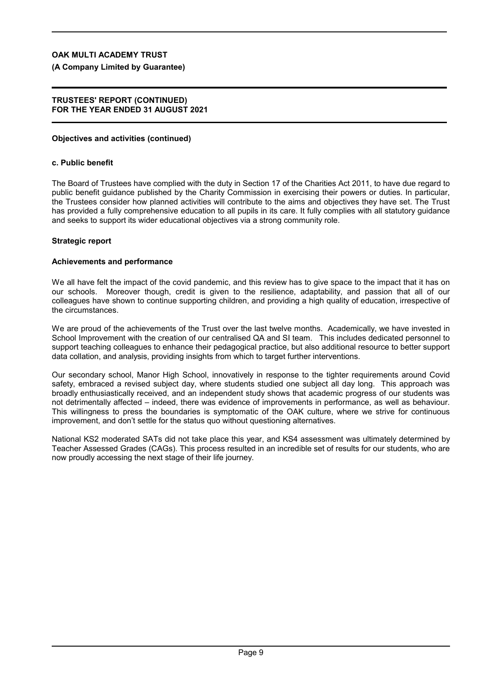**(A Company Limited by Guarantee)**

### **TRUSTEES' REPORT (CONTINUED) FOR THE YEAR ENDED 31 AUGUST 2021**

### **Objectives and activities (continued)**

### **c. Public benefit**

The Board of Trustees have complied with the duty in Section 17 of the Charities Act 2011, to have due regard to public benefit guidance published by the Charity Commission in exercising their powers or duties. In particular, the Trustees consider how planned activities will contribute to the aims and objectives they have set. The Trust has provided a fully comprehensive education to all pupils in its care. It fully complies with all statutory guidance and seeks to support its wider educational objectives via a strong community role.

### **Strategic report**

### **Achievements and performance**

We all have felt the impact of the covid pandemic, and this review has to give space to the impact that it has on our schools. Moreover though, credit is given to the resilience, adaptability, and passion that all of our colleagues have shown to continue supporting children, and providing a high quality of education, irrespective of the circumstances.

We are proud of the achievements of the Trust over the last twelve months. Academically, we have invested in School Improvement with the creation of our centralised QA and SI team. This includes dedicated personnel to support teaching colleagues to enhance their pedagogical practice, but also additional resource to better support data collation, and analysis, providing insights from which to target further interventions.

Our secondary school, Manor High School, innovatively in response to the tighter requirements around Covid safety, embraced a revised subject day, where students studied one subject all day long. This approach was broadly enthusiastically received, and an independent study shows that academic progress of our students was not detrimentally affected – indeed, there was evidence of improvements in performance, as well as behaviour. This willingness to press the boundaries is symptomatic of the OAK culture, where we strive for continuous improvement, and don't settle for the status quo without questioning alternatives.

National KS2 moderated SATs did not take place this year, and KS4 assessment was ultimately determined by Teacher Assessed Grades (CAGs). This process resulted in an incredible set of results for our students, who are now proudly accessing the next stage of their life journey.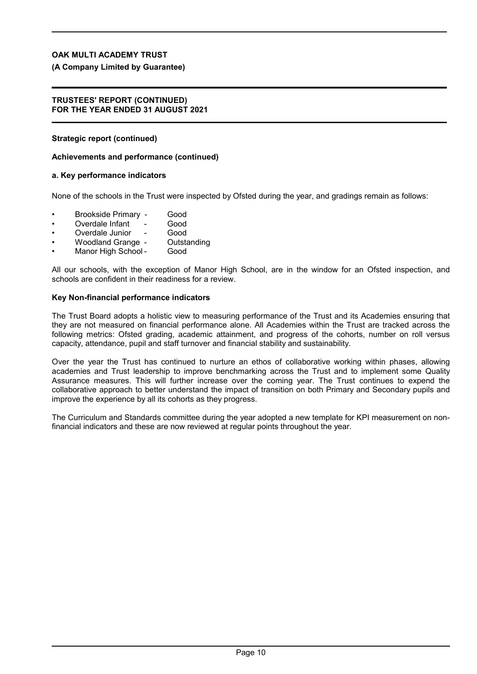### **(A Company Limited by Guarantee)**

#### **TRUSTEES' REPORT (CONTINUED) FOR THE YEAR ENDED 31 AUGUST 2021**

### **Strategic report (continued)**

### **Achievements and performance (continued)**

### **a. Key performance indicators**

None of the schools in the Trust were inspected by Ofsted during the year, and gradings remain as follows:

- Brookside Primary Good
- Overdale Infant
- 
- Overdale Junior Good<br>Woodland Grange Outstanding Woodland Grange -
- Manor High School Good

All our schools, with the exception of Manor High School, are in the window for an Ofsted inspection, and schools are confident in their readiness for a review.

### **Key Non-financial performance indicators**

The Trust Board adopts a holistic view to measuring performance of the Trust and its Academies ensuring that they are not measured on financial performance alone. All Academies within the Trust are tracked across the following metrics: Ofsted grading, academic attainment, and progress of the cohorts, number on roll versus capacity, attendance, pupil and staff turnover and financial stability and sustainability.

Over the year the Trust has continued to nurture an ethos of collaborative working within phases, allowing academies and Trust leadership to improve benchmarking across the Trust and to implement some Quality Assurance measures. This will further increase over the coming year. The Trust continues to expend the collaborative approach to better understand the impact of transition on both Primary and Secondary pupils and improve the experience by all its cohorts as they progress.

The Curriculum and Standards committee during the year adopted a new template for KPI measurement on nonfinancial indicators and these are now reviewed at regular points throughout the year.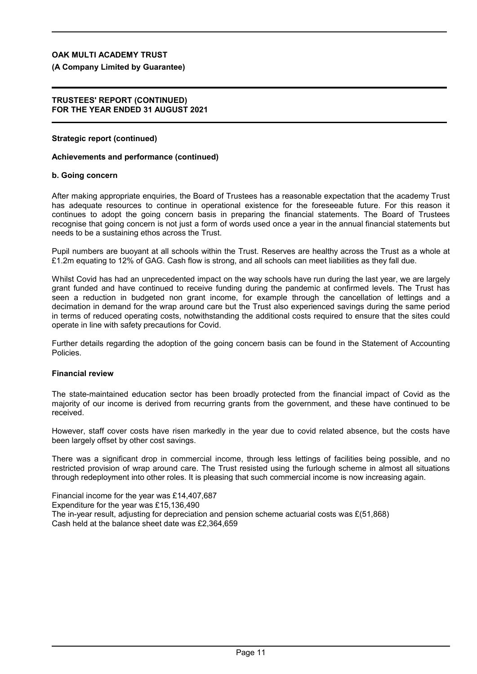**(A Company Limited by Guarantee)**

#### **TRUSTEES' REPORT (CONTINUED) FOR THE YEAR ENDED 31 AUGUST 2021**

### **Strategic report (continued)**

#### **Achievements and performance (continued)**

#### **b. Going concern**

After making appropriate enquiries, the Board of Trustees has a reasonable expectation that the academy Trust has adequate resources to continue in operational existence for the foreseeable future. For this reason it continues to adopt the going concern basis in preparing the financial statements. The Board of Trustees recognise that going concern is not just a form of words used once a year in the annual financial statements but needs to be a sustaining ethos across the Trust.

Pupil numbers are buoyant at all schools within the Trust. Reserves are healthy across the Trust as a whole at £1.2m equating to 12% of GAG. Cash flow is strong, and all schools can meet liabilities as they fall due.

Whilst Covid has had an unprecedented impact on the way schools have run during the last year, we are largely grant funded and have continued to receive funding during the pandemic at confirmed levels. The Trust has seen a reduction in budgeted non grant income, for example through the cancellation of lettings and a decimation in demand for the wrap around care but the Trust also experienced savings during the same period in terms of reduced operating costs, notwithstanding the additional costs required to ensure that the sites could operate in line with safety precautions for Covid.

Further details regarding the adoption of the going concern basis can be found in the Statement of Accounting Policies.

### **Financial review**

The state-maintained education sector has been broadly protected from the financial impact of Covid as the majority of our income is derived from recurring grants from the government, and these have continued to be received.

However, staff cover costs have risen markedly in the year due to covid related absence, but the costs have been largely offset by other cost savings.

There was a significant drop in commercial income, through less lettings of facilities being possible, and no restricted provision of wrap around care. The Trust resisted using the furlough scheme in almost all situations through redeployment into other roles. It is pleasing that such commercial income is now increasing again.

Financial income for the year was £14,407,687 Expenditure for the year was £15,136,490 The in-year result, adjusting for depreciation and pension scheme actuarial costs was £(51,868) Cash held at the balance sheet date was £2,364,659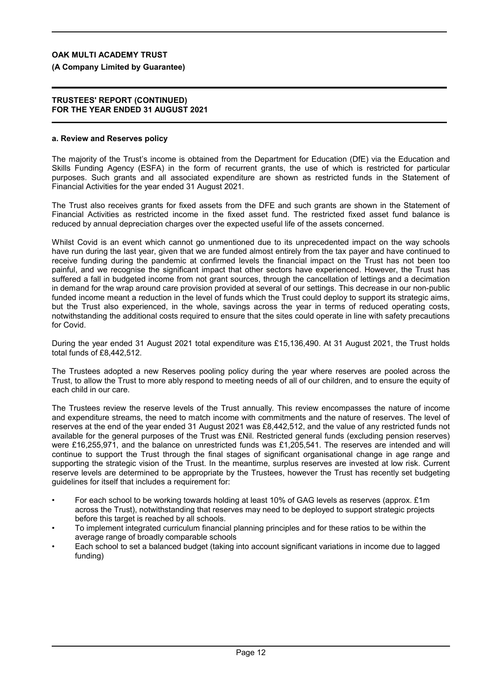**(A Company Limited by Guarantee)**

#### **TRUSTEES' REPORT (CONTINUED) FOR THE YEAR ENDED 31 AUGUST 2021**

#### **a. Review and Reserves policy**

The majority of the Trust's income is obtained from the Department for Education (DfE) via the Education and Skills Funding Agency (ESFA) in the form of recurrent grants, the use of which is restricted for particular purposes. Such grants and all associated expenditure are shown as restricted funds in the Statement of Financial Activities for the year ended 31 August 2021.

The Trust also receives grants for fixed assets from the DFE and such grants are shown in the Statement of Financial Activities as restricted income in the fixed asset fund. The restricted fixed asset fund balance is reduced by annual depreciation charges over the expected useful life of the assets concerned.

Whilst Covid is an event which cannot go unmentioned due to its unprecedented impact on the way schools have run during the last year, given that we are funded almost entirely from the tax payer and have continued to receive funding during the pandemic at confirmed levels the financial impact on the Trust has not been too painful, and we recognise the significant impact that other sectors have experienced. However, the Trust has suffered a fall in budgeted income from not grant sources, through the cancellation of lettings and a decimation in demand for the wrap around care provision provided at several of our settings. This decrease in our non-public funded income meant a reduction in the level of funds which the Trust could deploy to support its strategic aims, but the Trust also experienced, in the whole, savings across the year in terms of reduced operating costs, notwithstanding the additional costs required to ensure that the sites could operate in line with safety precautions for Covid.

During the year ended 31 August 2021 total expenditure was £15,136,490. At 31 August 2021, the Trust holds total funds of £8,442,512.

The Trustees adopted a new Reserves pooling policy during the year where reserves are pooled across the Trust, to allow the Trust to more ably respond to meeting needs of all of our children, and to ensure the equity of each child in our care.

The Trustees review the reserve levels of the Trust annually. This review encompasses the nature of income and expenditure streams, the need to match income with commitments and the nature of reserves. The level of reserves at the end of the year ended 31 August 2021 was £8,442,512, and the value of any restricted funds not available for the general purposes of the Trust was £Nil. Restricted general funds (excluding pension reserves) were £16,255,971, and the balance on unrestricted funds was £1,205,541. The reserves are intended and will continue to support the Trust through the final stages of significant organisational change in age range and supporting the strategic vision of the Trust. In the meantime, surplus reserves are invested at low risk. Current reserve levels are determined to be appropriate by the Trustees, however the Trust has recently set budgeting guidelines for itself that includes a requirement for:

- For each school to be working towards holding at least 10% of GAG levels as reserves (approx. £1m across the Trust), notwithstanding that reserves may need to be deployed to support strategic projects before this target is reached by all schools.
- To implement integrated curriculum financial planning principles and for these ratios to be within the average range of broadly comparable schools
- Each school to set a balanced budget (taking into account significant variations in income due to lagged funding)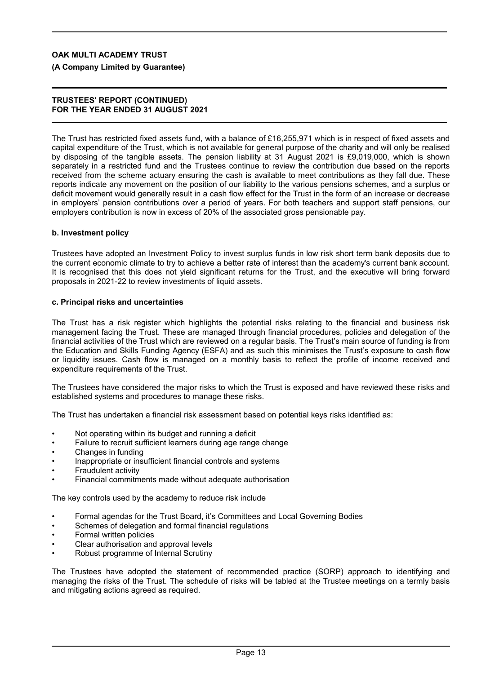**(A Company Limited by Guarantee)**

### **TRUSTEES' REPORT (CONTINUED) FOR THE YEAR ENDED 31 AUGUST 2021**

The Trust has restricted fixed assets fund, with a balance of £16,255,971 which is in respect of fixed assets and capital expenditure of the Trust, which is not available for general purpose of the charity and will only be realised by disposing of the tangible assets. The pension liability at 31 August 2021 is £9,019,000, which is shown separately in a restricted fund and the Trustees continue to review the contribution due based on the reports received from the scheme actuary ensuring the cash is available to meet contributions as they fall due. These reports indicate any movement on the position of our liability to the various pensions schemes, and a surplus or deficit movement would generally result in a cash flow effect for the Trust in the form of an increase or decrease in employers' pension contributions over a period of years. For both teachers and support staff pensions, our employers contribution is now in excess of 20% of the associated gross pensionable pay.

### **b. Investment policy**

Trustees have adopted an Investment Policy to invest surplus funds in low risk short term bank deposits due to the current economic climate to try to achieve a better rate of interest than the academy's current bank account. It is recognised that this does not yield significant returns for the Trust, and the executive will bring forward proposals in 2021-22 to review investments of liquid assets.

#### **c. Principal risks and uncertainties**

The Trust has a risk register which highlights the potential risks relating to the financial and business risk management facing the Trust. These are managed through financial procedures, policies and delegation of the financial activities of the Trust which are reviewed on a regular basis. The Trust's main source of funding is from the Education and Skills Funding Agency (ESFA) and as such this minimises the Trust's exposure to cash flow or liquidity issues. Cash flow is managed on a monthly basis to reflect the profile of income received and expenditure requirements of the Trust.

The Trustees have considered the major risks to which the Trust is exposed and have reviewed these risks and established systems and procedures to manage these risks.

The Trust has undertaken a financial risk assessment based on potential keys risks identified as:

- Not operating within its budget and running a deficit
- Failure to recruit sufficient learners during age range change
- Changes in funding
- Inappropriate or insufficient financial controls and systems
- Fraudulent activity
- Financial commitments made without adequate authorisation

The key controls used by the academy to reduce risk include

- Formal agendas for the Trust Board, it's Committees and Local Governing Bodies
- Schemes of delegation and formal financial regulations
- Formal written policies
- Clear authorisation and approval levels
- Robust programme of Internal Scrutiny

The Trustees have adopted the statement of recommended practice (SORP) approach to identifying and managing the risks of the Trust. The schedule of risks will be tabled at the Trustee meetings on a termly basis and mitigating actions agreed as required.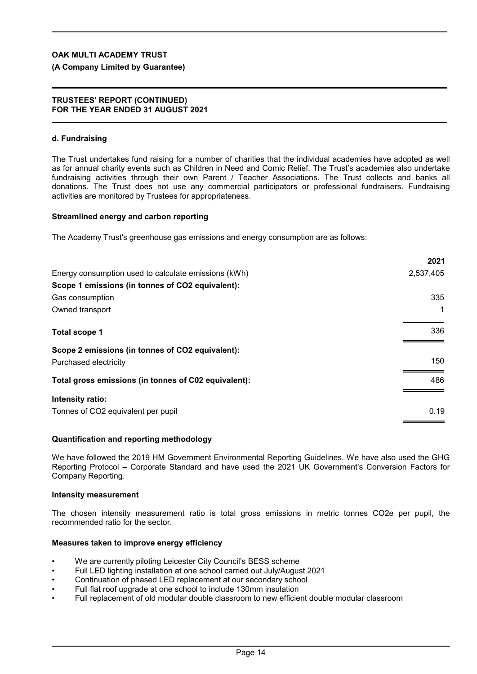### **(A Company Limited by Guarantee)**

#### **TRUSTEES' REPORT (CONTINUED) FOR THE YEAR ENDED 31 AUGUST 2021**

#### **d. Fundraising**

The Trust undertakes fund raising for a number of charities that the individual academies have adopted as well as for annual charity events such as Children in Need and Comic Relief. The Trust's academies also undertake fundraising activities through their own Parent / Teacher Associations. The Trust collects and banks all donations. The Trust does not use any commercial participators or professional fundraisers. Fundraising activities are monitored by Trustees for appropriateness.

#### **Streamlined energy and carbon reporting**

The Academy Trust's greenhouse gas emissions and energy consumption are as follows:

|                                                      | 2021      |
|------------------------------------------------------|-----------|
| Energy consumption used to calculate emissions (kWh) | 2,537,405 |
| Scope 1 emissions (in tonnes of CO2 equivalent):     |           |
| Gas consumption                                      | 335       |
| Owned transport                                      | 1         |
| <b>Total scope 1</b>                                 | 336       |
| Scope 2 emissions (in tonnes of CO2 equivalent):     |           |
| Purchased electricity                                | 150       |
| Total gross emissions (in tonnes of C02 equivalent): | 486       |
| Intensity ratio:                                     |           |
| Tonnes of CO2 equivalent per pupil                   | 0.19      |

#### **Quantification and reporting methodology**

We have followed the 2019 HM Government Environmental Reporting Guidelines. We have also used the GHG Reporting Protocol – Corporate Standard and have used the 2021 UK Government's Conversion Factors for Company Reporting.

#### **Intensity measurement**

The chosen intensity measurement ratio is total gross emissions in metric tonnes CO2e per pupil, the recommended ratio for the sector.

#### **Measures taken to improve energy efficiency**

- We are currently piloting Leicester City Council's BESS scheme
- Full LED lighting installation at one school carried out July/August 2021
- Continuation of phased LED replacement at our secondary school
- Full flat roof upgrade at one school to include 130mm insulation
- Full replacement of old modular double classroom to new efficient double modular classroom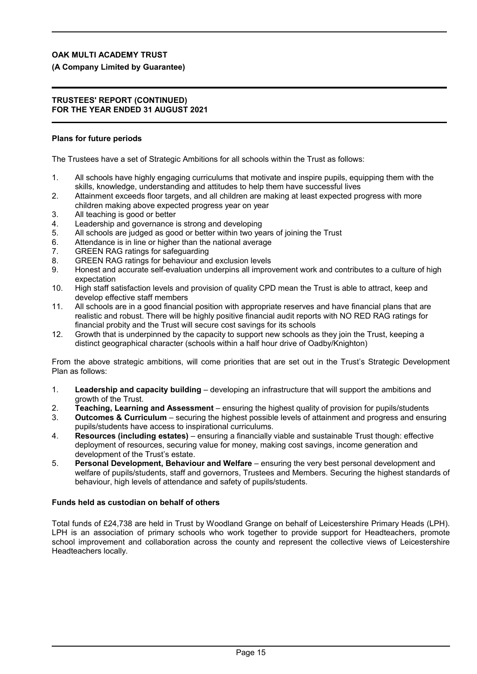**(A Company Limited by Guarantee)**

#### **TRUSTEES' REPORT (CONTINUED) FOR THE YEAR ENDED 31 AUGUST 2021**

### **Plans for future periods**

The Trustees have a set of Strategic Ambitions for all schools within the Trust as follows:

- 1. All schools have highly engaging curriculums that motivate and inspire pupils, equipping them with the skills, knowledge, understanding and attitudes to help them have successful lives
- 2. Attainment exceeds floor targets, and all children are making at least expected progress with more children making above expected progress year on year
- 3. All teaching is good or better
- 4. Leadership and governance is strong and developing
- 5. All schools are judged as good or better within two years of joining the Trust
- 6. Attendance is in line or higher than the national average
- 7. GREEN RAG ratings for safeguarding
- 8. GREEN RAG ratings for behaviour and exclusion levels
- 9. Honest and accurate self-evaluation underpins all improvement work and contributes to a culture of high expectation
- 10. High staff satisfaction levels and provision of quality CPD mean the Trust is able to attract, keep and develop effective staff members
- 11. All schools are in a good financial position with appropriate reserves and have financial plans that are realistic and robust. There will be highly positive financial audit reports with NO RED RAG ratings for financial probity and the Trust will secure cost savings for its schools
- 12. Growth that is underpinned by the capacity to support new schools as they join the Trust, keeping a distinct geographical character (schools within a half hour drive of Oadby/Knighton)

From the above strategic ambitions, will come priorities that are set out in the Trust's Strategic Development Plan as follows:

- 1. **Leadership and capacity building** developing an infrastructure that will support the ambitions and growth of the Trust.
- 2. **Teaching, Learning and Assessment** ensuring the highest quality of provision for pupils/students
- 3. **Outcomes & Curriculum** securing the highest possible levels of attainment and progress and ensuring pupils/students have access to inspirational curriculums.
- 4. **Resources (including estates)** ensuring a financially viable and sustainable Trust though: effective deployment of resources, securing value for money, making cost savings, income generation and development of the Trust's estate.
- 5. **Personal Development, Behaviour and Welfare** ensuring the very best personal development and welfare of pupils/students, staff and governors, Trustees and Members. Securing the highest standards of behaviour, high levels of attendance and safety of pupils/students.

### **Funds held as custodian on behalf of others**

Total funds of £24,738 are held in Trust by Woodland Grange on behalf of Leicestershire Primary Heads (LPH). LPH is an association of primary schools who work together to provide support for Headteachers, promote school improvement and collaboration across the county and represent the collective views of Leicestershire Headteachers locally.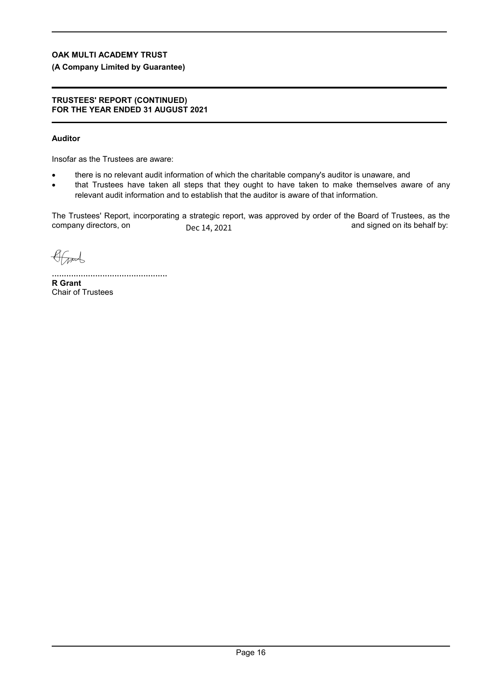## **(A Company Limited by Guarantee)**

#### **TRUSTEES' REPORT (CONTINUED) FOR THE YEAR ENDED 31 AUGUST 2021**

## **Auditor**

Insofar as the Trustees are aware:

- there is no relevant audit information of which the charitable company's auditor is unaware, and
- that Trustees have taken all steps that they ought to have taken to make themselves aware of any relevant audit information and to establish that the auditor is aware of that information.

The Trustees' Report, incorporating a strategic report, was approved by order of the Board of Trustees, as the company directors, on  $\overline{D}_{AC}$  14 2021 Dec 14, 2021

Grand

................................................ **R Grant** Chair of Trustees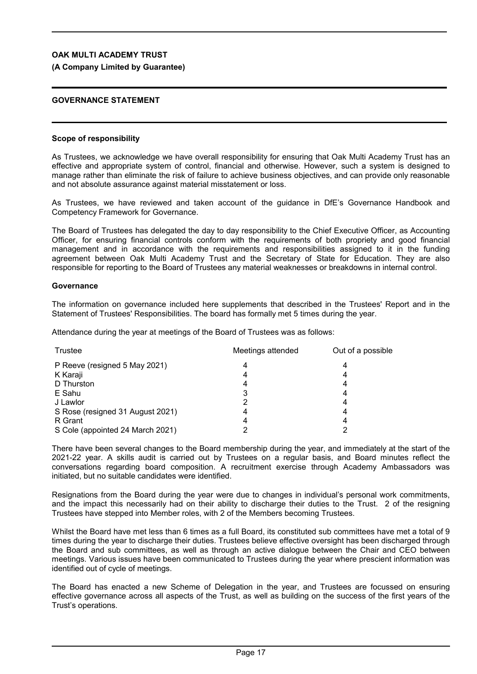### **(A Company Limited by Guarantee)**

### **GOVERNANCE STATEMENT**

### **Scope of responsibility**

As Trustees, we acknowledge we have overall responsibility for ensuring that Oak Multi Academy Trust has an effective and appropriate system of control, financial and otherwise. However, such a system is designed to manage rather than eliminate the risk of failure to achieve business objectives, and can provide only reasonable and not absolute assurance against material misstatement or loss.

As Trustees, we have reviewed and taken account of the guidance in DfE's Governance Handbook and Competency Framework for Governance.

The Board of Trustees has delegated the day to day responsibility to the Chief Executive Officer, as Accounting Officer, for ensuring financial controls conform with the requirements of both propriety and good financial management and in accordance with the requirements and responsibilities assigned to it in the funding agreement between Oak Multi Academy Trust and the Secretary of State for Education. They are also responsible for reporting to the Board of Trustees any material weaknesses or breakdowns in internal control.

#### **Governance**

The information on governance included here supplements that described in the Trustees' Report and in the Statement of Trustees' Responsibilities. The board has formally met 5 times during the year.

Attendance during the year at meetings of the Board of Trustees was as follows:

| Trustee                          | Meetings attended | Out of a possible |
|----------------------------------|-------------------|-------------------|
| P Reeve (resigned 5 May 2021)    |                   |                   |
| K Karaji                         |                   |                   |
| D Thurston                       |                   |                   |
| E Sahu                           |                   |                   |
| J Lawlor                         |                   |                   |
| S Rose (resigned 31 August 2021) |                   | 4                 |
| R Grant                          |                   | 4                 |
| S Cole (appointed 24 March 2021) |                   |                   |

There have been several changes to the Board membership during the year, and immediately at the start of the 2021-22 year. A skills audit is carried out by Trustees on a regular basis, and Board minutes reflect the conversations regarding board composition. A recruitment exercise through Academy Ambassadors was initiated, but no suitable candidates were identified.

Resignations from the Board during the year were due to changes in individual's personal work commitments, and the impact this necessarily had on their ability to discharge their duties to the Trust. 2 of the resigning Trustees have stepped into Member roles, with 2 of the Members becoming Trustees.

Whilst the Board have met less than 6 times as a full Board, its constituted sub committees have met a total of 9 times during the year to discharge their duties. Trustees believe effective oversight has been discharged through the Board and sub committees, as well as through an active dialogue between the Chair and CEO between meetings. Various issues have been communicated to Trustees during the year where prescient information was identified out of cycle of meetings.

The Board has enacted a new Scheme of Delegation in the year, and Trustees are focussed on ensuring effective governance across all aspects of the Trust, as well as building on the success of the first years of the Trust's operations.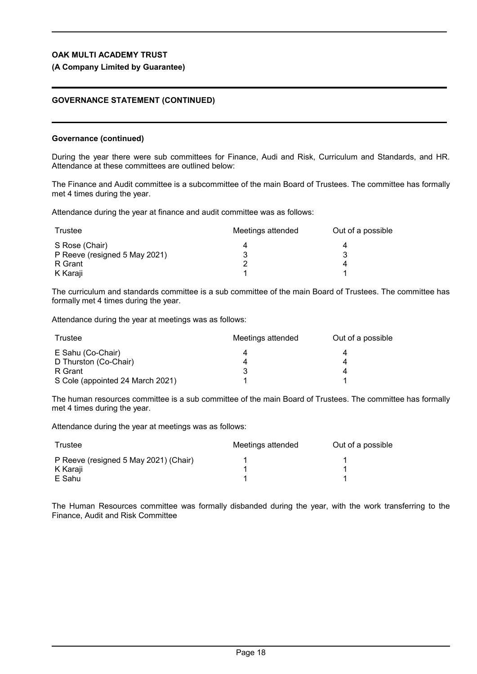### **(A Company Limited by Guarantee)**

### **GOVERNANCE STATEMENT (CONTINUED)**

#### **Governance (continued)**

During the year there were sub committees for Finance, Audi and Risk, Curriculum and Standards, and HR. Attendance at these committees are outlined below:

The Finance and Audit committee is a subcommittee of the main Board of Trustees. The committee has formally met 4 times during the year.

Attendance during the year at finance and audit committee was as follows:

| Trustee                       | Meetings attended | Out of a possible |
|-------------------------------|-------------------|-------------------|
| S Rose (Chair)                |                   |                   |
| P Reeve (resigned 5 May 2021) |                   |                   |
| R Grant                       |                   |                   |
| K Karaji                      |                   |                   |

The curriculum and standards committee is a sub committee of the main Board of Trustees. The committee has formally met 4 times during the year.

Attendance during the year at meetings was as follows:

| Trustee                          | Meetings attended | Out of a possible |
|----------------------------------|-------------------|-------------------|
| E Sahu (Co-Chair)                |                   |                   |
| D Thurston (Co-Chair)            | 4                 |                   |
| R Grant                          |                   |                   |
| S Cole (appointed 24 March 2021) |                   |                   |

The human resources committee is a sub committee of the main Board of Trustees. The committee has formally met 4 times during the year.

Attendance during the year at meetings was as follows:

| Trustee                               | Meetings attended | Out of a possible |
|---------------------------------------|-------------------|-------------------|
| P Reeve (resigned 5 May 2021) (Chair) |                   |                   |
| K Karaji                              |                   |                   |
| E Sahu                                |                   |                   |

The Human Resources committee was formally disbanded during the year, with the work transferring to the Finance, Audit and Risk Committee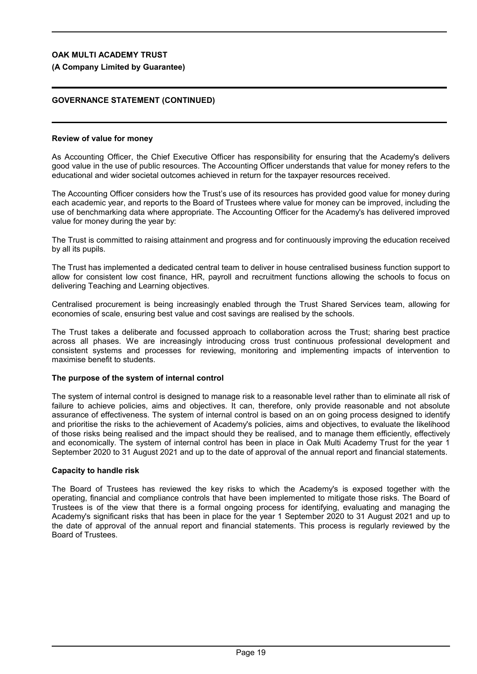### **(A Company Limited by Guarantee)**

## **GOVERNANCE STATEMENT (CONTINUED)**

#### **Review of value for money**

As Accounting Officer, the Chief Executive Officer has responsibility for ensuring that the Academy's delivers good value in the use of public resources. The Accounting Officer understands that value for money refers to the educational and wider societal outcomes achieved in return for the taxpayer resources received.

The Accounting Officer considers how the Trust's use of its resources has provided good value for money during each academic year, and reports to the Board of Trustees where value for money can be improved, including the use of benchmarking data where appropriate. The Accounting Officer for the Academy's has delivered improved value for money during the year by:

The Trust is committed to raising attainment and progress and for continuously improving the education received by all its pupils.

The Trust has implemented a dedicated central team to deliver in house centralised business function support to allow for consistent low cost finance, HR, payroll and recruitment functions allowing the schools to focus on delivering Teaching and Learning objectives.

Centralised procurement is being increasingly enabled through the Trust Shared Services team, allowing for economies of scale, ensuring best value and cost savings are realised by the schools.

The Trust takes a deliberate and focussed approach to collaboration across the Trust; sharing best practice across all phases. We are increasingly introducing cross trust continuous professional development and consistent systems and processes for reviewing, monitoring and implementing impacts of intervention to maximise benefit to students.

### **The purpose of the system of internal control**

The system of internal control is designed to manage risk to a reasonable level rather than to eliminate all risk of failure to achieve policies, aims and objectives. It can, therefore, only provide reasonable and not absolute assurance of effectiveness. The system of internal control is based on an on going process designed to identify and prioritise the risks to the achievement of Academy's policies, aims and objectives, to evaluate the likelihood of those risks being realised and the impact should they be realised, and to manage them efficiently, effectively and economically. The system of internal control has been in place in Oak Multi Academy Trust for the year 1 September 2020 to 31 August 2021 and up to the date of approval of the annual report and financial statements.

### **Capacity to handle risk**

The Board of Trustees has reviewed the key risks to which the Academy's is exposed together with the operating, financial and compliance controls that have been implemented to mitigate those risks. The Board of Trustees is of the view that there is a formal ongoing process for identifying, evaluating and managing the Academy's significant risks that has been in place for the year 1 September 2020 to 31 August 2021 and up to the date of approval of the annual report and financial statements. This process is regularly reviewed by the Board of Trustees.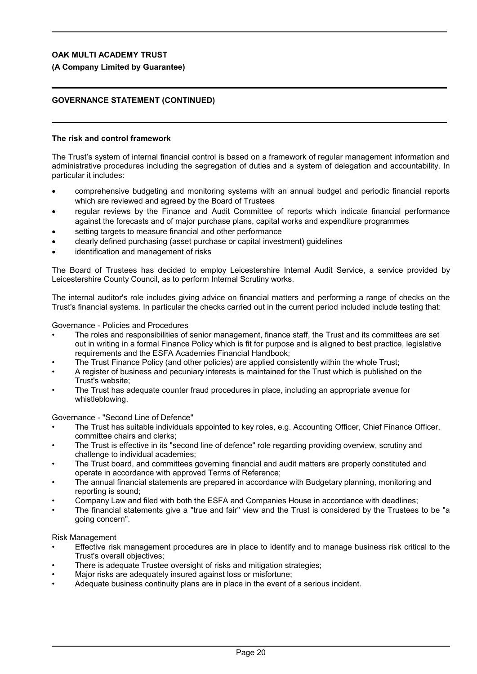### **(A Company Limited by Guarantee)**

## **GOVERNANCE STATEMENT (CONTINUED)**

### **The risk and control framework**

The Trust's system of internal financial control is based on a framework of regular management information and administrative procedures including the segregation of duties and a system of delegation and accountability. In particular it includes:

- comprehensive budgeting and monitoring systems with an annual budget and periodic financial reports which are reviewed and agreed by the Board of Trustees
- regular reviews by the Finance and Audit Committee of reports which indicate financial performance against the forecasts and of major purchase plans, capital works and expenditure programmes
- setting targets to measure financial and other performance
- clearly defined purchasing (asset purchase or capital investment) guidelines
- identification and management of risks

The Board of Trustees has decided to employ Leicestershire Internal Audit Service, a service provided by Leicestershire County Council, as to perform Internal Scrutiny works.

The internal auditor's role includes giving advice on financial matters and performing a range of checks on the Trust's financial systems. In particular the checks carried out in the current period included include testing that:

#### Governance - Policies and Procedures

- The roles and responsibilities of senior management, finance staff, the Trust and its committees are set out in writing in a formal Finance Policy which is fit for purpose and is aligned to best practice, legislative requirements and the ESFA Academies Financial Handbook;
- The Trust Finance Policy (and other policies) are applied consistently within the whole Trust;
- A register of business and pecuniary interests is maintained for the Trust which is published on the Trust's website;
- The Trust has adequate counter fraud procedures in place, including an appropriate avenue for whistleblowing.

Governance - "Second Line of Defence"

- The Trust has suitable individuals appointed to key roles, e.g. Accounting Officer, Chief Finance Officer, committee chairs and clerks;
- The Trust is effective in its "second line of defence" role regarding providing overview, scrutiny and challenge to individual academies;
- The Trust board, and committees governing financial and audit matters are properly constituted and operate in accordance with approved Terms of Reference;
- The annual financial statements are prepared in accordance with Budgetary planning, monitoring and reporting is sound;
- Company Law and filed with both the ESFA and Companies House in accordance with deadlines;
- The financial statements give a "true and fair" view and the Trust is considered by the Trustees to be "a going concern".

Risk Management

- Effective risk management procedures are in place to identify and to manage business risk critical to the Trust's overall objectives;
- There is adequate Trustee oversight of risks and mitigation strategies;
- Major risks are adequately insured against loss or misfortune;
- Adequate business continuity plans are in place in the event of a serious incident.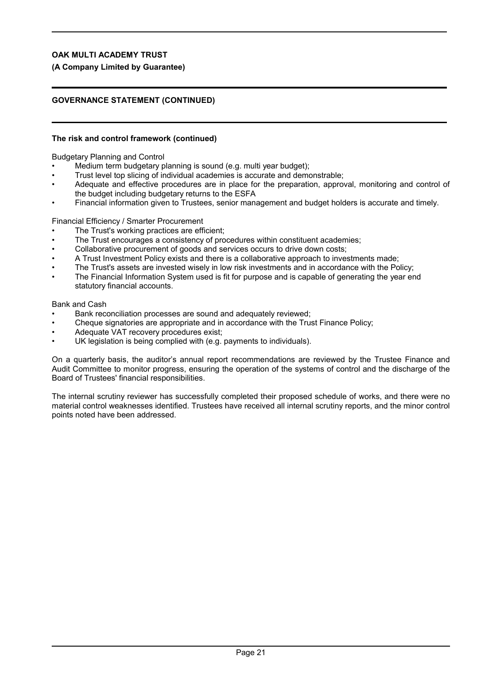### **(A Company Limited by Guarantee)**

## **GOVERNANCE STATEMENT (CONTINUED)**

### **The risk and control framework (continued)**

Budgetary Planning and Control

- Medium term budgetary planning is sound (e.g. multi year budget):
- Trust level top slicing of individual academies is accurate and demonstrable;
- Adequate and effective procedures are in place for the preparation, approval, monitoring and control of the budget including budgetary returns to the ESFA
- Financial information given to Trustees, senior management and budget holders is accurate and timely.

Financial Efficiency / Smarter Procurement

- The Trust's working practices are efficient;
- The Trust encourages a consistency of procedures within constituent academies;
- Collaborative procurement of goods and services occurs to drive down costs;
- A Trust Investment Policy exists and there is a collaborative approach to investments made;
- The Trust's assets are invested wisely in low risk investments and in accordance with the Policy;
- The Financial Information System used is fit for purpose and is capable of generating the year end statutory financial accounts.

Bank and Cash

- Bank reconciliation processes are sound and adequately reviewed;
- Cheque signatories are appropriate and in accordance with the Trust Finance Policy;
- Adequate VAT recovery procedures exist;
- UK legislation is being complied with (e.g. payments to individuals).

On a quarterly basis, the auditor's annual report recommendations are reviewed by the Trustee Finance and Audit Committee to monitor progress, ensuring the operation of the systems of control and the discharge of the Board of Trustees' financial responsibilities.

The internal scrutiny reviewer has successfully completed their proposed schedule of works, and there were no material control weaknesses identified. Trustees have received all internal scrutiny reports, and the minor control points noted have been addressed.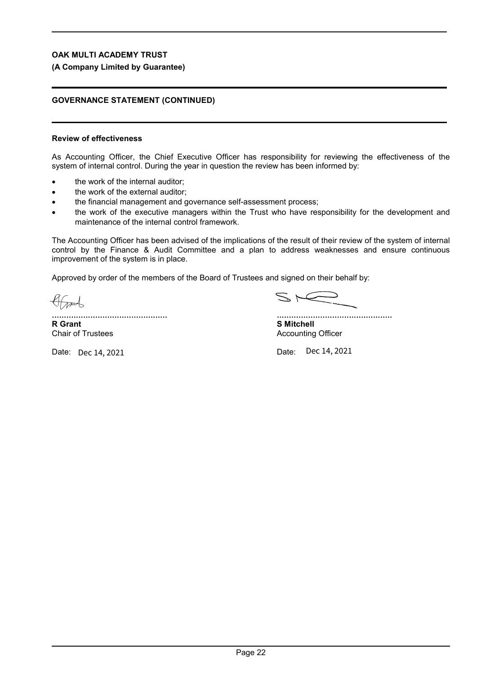### **(A Company Limited by Guarantee)**

## **GOVERNANCE STATEMENT (CONTINUED)**

### **Review of effectiveness**

As Accounting Officer, the Chief Executive Officer has responsibility for reviewing the effectiveness of the system of internal control. During the year in question the review has been informed by:

- the work of the internal auditor;
- the work of the external auditor;
- the financial management and governance self-assessment process;
- the work of the executive managers within the Trust who have responsibility for the development and maintenance of the internal control framework.

The Accounting Officer has been advised of the implications of the result of their review of the system of internal control by the Finance & Audit Committee and a plan to address weaknesses and ensure continuous improvement of the system is in place.

Approved by order of the members of the Board of Trustees and signed on their behalf by:

Grand

[................................................](https://eu1.documents.adobe.com/verifier?tx=CBJCHBCAABAAyn2fmC8uFOcj3xdvYPCL7ZRWccRoExLb) **R Grant**

Chair of Trustees

Date: Dec 14, 2021

 $S \nightharpoonup$ 

................................................ **S Mitchell**

Accounting Officer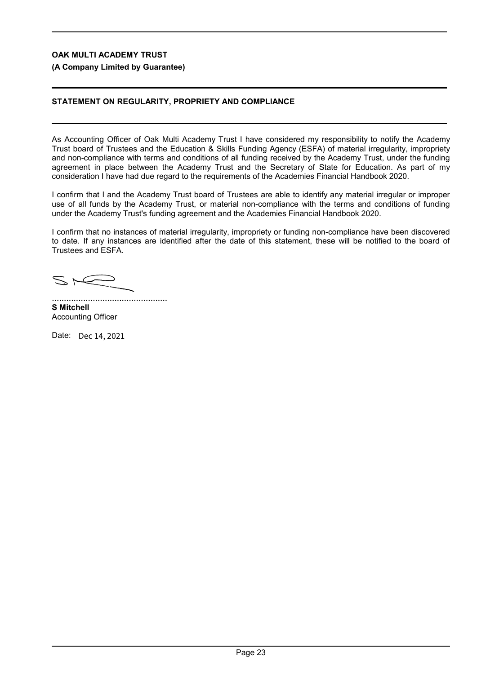**(A Company Limited by Guarantee)**

## **STATEMENT ON REGULARITY, PROPRIETY AND COMPLIANCE**

As Accounting Officer of Oak Multi Academy Trust I have considered my responsibility to notify the Academy Trust board of Trustees and the Education & Skills Funding Agency (ESFA) of material irregularity, impropriety and non-compliance with terms and conditions of all funding received by the Academy Trust, under the funding agreement in place between the Academy Trust and the Secretary of State for Education. As part of my consideration I have had due regard to the requirements of the Academies Financial Handbook 2020.

I confirm that I and the Academy Trust board of Trustees are able to identify any material irregular or improper use of all funds by the Academy Trust, or material non-compliance with the terms and conditions of funding under the Academy Trust's funding agreement and the Academies Financial Handbook 2020.

I confirm that no instances of material irregularity, impropriety or funding non-compliance have been discovered to date. If any instances are identified after the date of this statement, these will be notified to the board of Trustees and ESFA.

 $S \subset$ 

................................................ **S Mitchell** Accounting Officer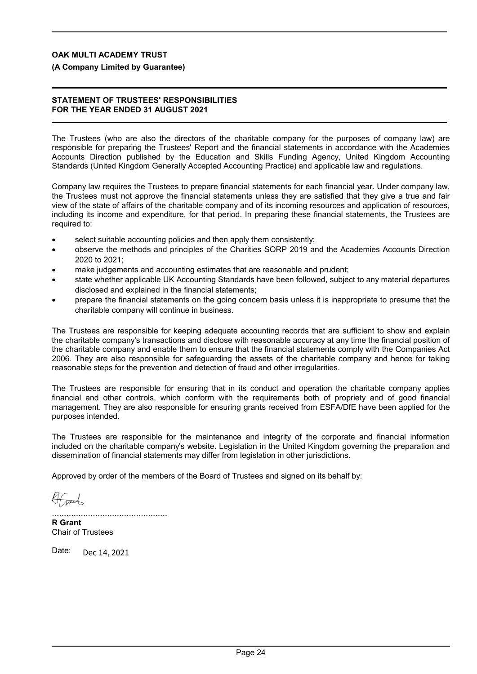**(A Company Limited by Guarantee)**

### **STATEMENT OF TRUSTEES' RESPONSIBILITIES FOR THE YEAR ENDED 31 AUGUST 2021**

The Trustees (who are also the directors of the charitable company for the purposes of company law) are responsible for preparing the Trustees' Report and the financial statements in accordance with the Academies Accounts Direction published by the Education and Skills Funding Agency, United Kingdom Accounting Standards (United Kingdom Generally Accepted Accounting Practice) and applicable law and regulations.

Company law requires the Trustees to prepare financial statements for each financial year. Under company law, the Trustees must not approve the financial statements unless they are satisfied that they give a true and fair view of the state of affairs of the charitable company and of its incoming resources and application of resources, including its income and expenditure, for that period. In preparing these financial statements, the Trustees are required to:

- select suitable accounting policies and then apply them consistently;
- observe the methods and principles of the Charities SORP 2019 and the Academies Accounts Direction 2020 to 2021;
- make judgements and accounting estimates that are reasonable and prudent;
- state whether applicable UK Accounting Standards have been followed, subject to any material departures disclosed and explained in the financial statements;
- prepare the financial statements on the going concern basis unless it is inappropriate to presume that the charitable company will continue in business.

The Trustees are responsible for keeping adequate accounting records that are sufficient to show and explain the charitable company's transactions and disclose with reasonable accuracy at any time the financial position of the charitable company and enable them to ensure that the financial statements comply with the Companies Act 2006. They are also responsible for safeguarding the assets of the charitable company and hence for taking reasonable steps for the prevention and detection of fraud and other irregularities.

The Trustees are responsible for ensuring that in its conduct and operation the charitable company applies financial and other controls, which conform with the requirements both of propriety and of good financial management. They are also responsible for ensuring grants received from ESFA/DfE have been applied for the purposes intended.

The Trustees are responsible for the maintenance and integrity of the corporate and financial information included on the charitable company's website. Legislation in the United Kingdom governing the preparation and dissemination of financial statements may differ from legislation in other jurisdictions.

Approved by order of the members of the Board of Trustees and signed on its behalf by:

................................................

**R Grant** Chair of Trustees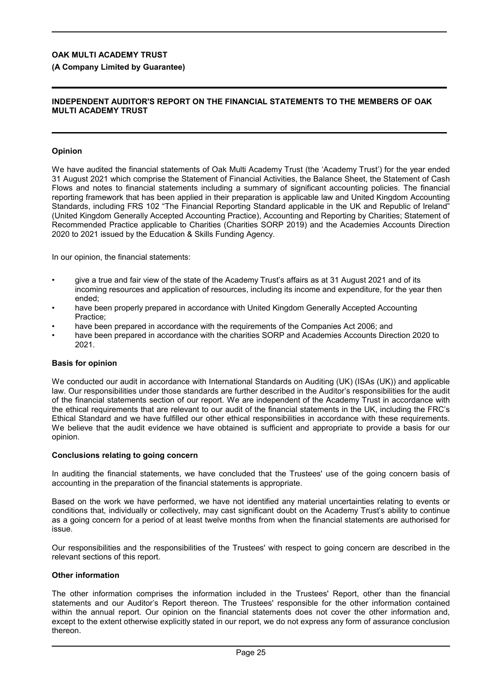### **(A Company Limited by Guarantee)**

### **INDEPENDENT AUDITOR'S REPORT ON THE FINANCIAL STATEMENTS TO THE MEMBERS OF OAK MULTI ACADEMY TRUST**

### **Opinion**

We have audited the financial statements of Oak Multi Academy Trust (the 'Academy Trust') for the year ended 31 August 2021 which comprise the Statement of Financial Activities, the Balance Sheet, the Statement of Cash Flows and notes to financial statements including a summary of significant accounting policies. The financial reporting framework that has been applied in their preparation is applicable law and United Kingdom Accounting Standards, including FRS 102 "The Financial Reporting Standard applicable in the UK and Republic of Ireland" (United Kingdom Generally Accepted Accounting Practice), Accounting and Reporting by Charities; Statement of Recommended Practice applicable to Charities (Charities SORP 2019) and the Academies Accounts Direction 2020 to 2021 issued by the Education & Skills Funding Agency.

In our opinion, the financial statements:

- give a true and fair view of the state of the Academy Trust's affairs as at 31 August 2021 and of its incoming resources and application of resources, including its income and expenditure, for the year then ended;
- have been properly prepared in accordance with United Kingdom Generally Accepted Accounting Practice;
- have been prepared in accordance with the requirements of the Companies Act 2006; and
- have been prepared in accordance with the charities SORP and Academies Accounts Direction 2020 to 2021.

### **Basis for opinion**

We conducted our audit in accordance with International Standards on Auditing (UK) (ISAs (UK)) and applicable law. Our responsibilities under those standards are further described in the Auditor's responsibilities for the audit of the financial statements section of our report. We are independent of the Academy Trust in accordance with the ethical requirements that are relevant to our audit of the financial statements in the UK, including the FRC's Ethical Standard and we have fulfilled our other ethical responsibilities in accordance with these requirements. We believe that the audit evidence we have obtained is sufficient and appropriate to provide a basis for our opinion.

### **Conclusions relating to going concern**

In auditing the financial statements, we have concluded that the Trustees' use of the going concern basis of accounting in the preparation of the financial statements is appropriate.

Based on the work we have performed, we have not identified any material uncertainties relating to events or conditions that, individually or collectively, may cast significant doubt on the Academy Trust's ability to continue as a going concern for a period of at least twelve months from when the financial statements are authorised for issue.

Our responsibilities and the responsibilities of the Trustees' with respect to going concern are described in the relevant sections of this report.

### **Other information**

The other information comprises the information included in the Trustees' Report, other than the financial statements and our Auditor's Report thereon. The Trustees' responsible for the other information contained within the annual report. Our opinion on the financial statements does not cover the other information and, except to the extent otherwise explicitly stated in our report, we do not express any form of assurance conclusion thereon.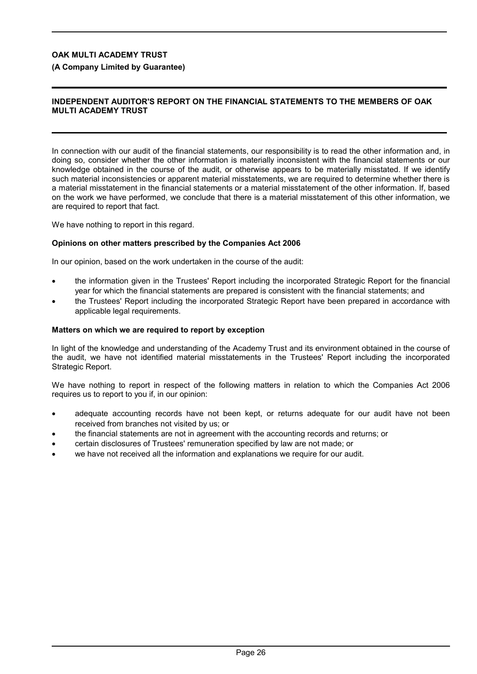### **(A Company Limited by Guarantee)**

### **INDEPENDENT AUDITOR'S REPORT ON THE FINANCIAL STATEMENTS TO THE MEMBERS OF OAK MULTI ACADEMY TRUST**

In connection with our audit of the financial statements, our responsibility is to read the other information and, in doing so, consider whether the other information is materially inconsistent with the financial statements or our knowledge obtained in the course of the audit, or otherwise appears to be materially misstated. If we identify such material inconsistencies or apparent material misstatements, we are required to determine whether there is a material misstatement in the financial statements or a material misstatement of the other information. If, based on the work we have performed, we conclude that there is a material misstatement of this other information, we are required to report that fact.

We have nothing to report in this regard.

### **Opinions on other matters prescribed by the Companies Act 2006**

In our opinion, based on the work undertaken in the course of the audit:

- the information given in the Trustees' Report including the incorporated Strategic Report for the financial year for which the financial statements are prepared is consistent with the financial statements; and
- the Trustees' Report including the incorporated Strategic Report have been prepared in accordance with applicable legal requirements.

#### **Matters on which we are required to report by exception**

In light of the knowledge and understanding of the Academy Trust and its environment obtained in the course of the audit, we have not identified material misstatements in the Trustees' Report including the incorporated Strategic Report.

We have nothing to report in respect of the following matters in relation to which the Companies Act 2006 requires us to report to you if, in our opinion:

- adequate accounting records have not been kept, or returns adequate for our audit have not been received from branches not visited by us; or
- the financial statements are not in agreement with the accounting records and returns; or
- certain disclosures of Trustees' remuneration specified by law are not made; or
- we have not received all the information and explanations we require for our audit.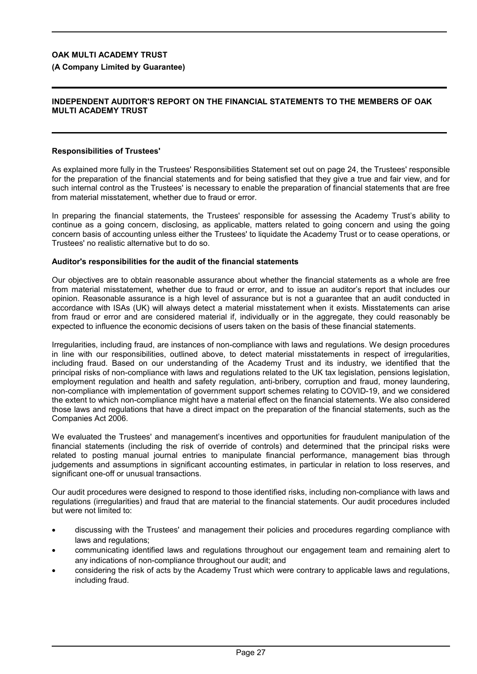### **(A Company Limited by Guarantee)**

#### **INDEPENDENT AUDITOR'S REPORT ON THE FINANCIAL STATEMENTS TO THE MEMBERS OF OAK MULTI ACADEMY TRUST**

### **Responsibilities of Trustees'**

As explained more fully in the Trustees' Responsibilities Statement set out on page 24, the Trustees' responsible for the preparation of the financial statements and for being satisfied that they give a true and fair view, and for such internal control as the Trustees' is necessary to enable the preparation of financial statements that are free from material misstatement, whether due to fraud or error.

In preparing the financial statements, the Trustees' responsible for assessing the Academy Trust's ability to continue as a going concern, disclosing, as applicable, matters related to going concern and using the going concern basis of accounting unless either the Trustees' to liquidate the Academy Trust or to cease operations, or Trustees' no realistic alternative but to do so.

#### **Auditor's responsibilities for the audit of the financial statements**

Our objectives are to obtain reasonable assurance about whether the financial statements as a whole are free from material misstatement, whether due to fraud or error, and to issue an auditor's report that includes our opinion. Reasonable assurance is a high level of assurance but is not a guarantee that an audit conducted in accordance with ISAs (UK) will always detect a material misstatement when it exists. Misstatements can arise from fraud or error and are considered material if, individually or in the aggregate, they could reasonably be expected to influence the economic decisions of users taken on the basis of these financial statements.

Irregularities, including fraud, are instances of non-compliance with laws and regulations. We design procedures in line with our responsibilities, outlined above, to detect material misstatements in respect of irregularities, including fraud. Based on our understanding of the Academy Trust and its industry, we identified that the principal risks of non-compliance with laws and regulations related to the UK tax legislation, pensions legislation, employment regulation and health and safety regulation, anti-bribery, corruption and fraud, money laundering, non-compliance with implementation of government support schemes relating to COVID-19, and we considered the extent to which non-compliance might have a material effect on the financial statements. We also considered those laws and regulations that have a direct impact on the preparation of the financial statements, such as the Companies Act 2006.

We evaluated the Trustees' and management's incentives and opportunities for fraudulent manipulation of the financial statements (including the risk of override of controls) and determined that the principal risks were related to posting manual journal entries to manipulate financial performance, management bias through judgements and assumptions in significant accounting estimates, in particular in relation to loss reserves, and significant one-off or unusual transactions.

Our audit procedures were designed to respond to those identified risks, including non-compliance with laws and regulations (irregularities) and fraud that are material to the financial statements. Our audit procedures included but were not limited to:

- discussing with the Trustees' and management their policies and procedures regarding compliance with laws and regulations;
- communicating identified laws and regulations throughout our engagement team and remaining alert to any indications of non-compliance throughout our audit; and
- considering the risk of acts by the Academy Trust which were contrary to applicable laws and regulations, including fraud.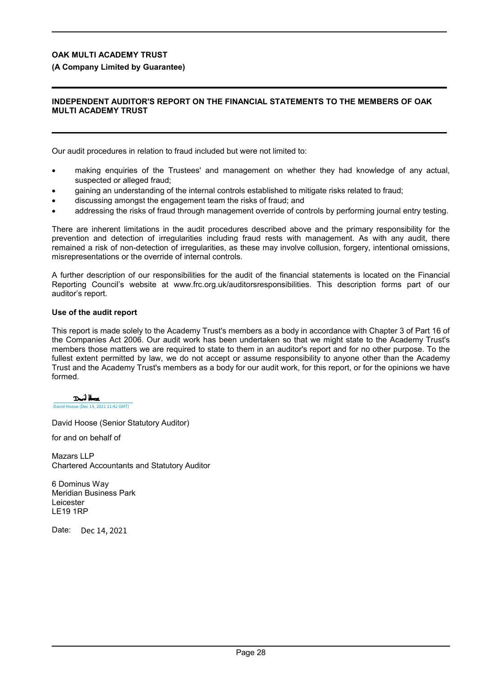### **(A Company Limited by Guarantee)**

### **INDEPENDENT AUDITOR'S REPORT ON THE FINANCIAL STATEMENTS TO THE MEMBERS OF OAK MULTI ACADEMY TRUST**

Our audit procedures in relation to fraud included but were not limited to:

- making enquiries of the Trustees' and management on whether they had knowledge of any actual, suspected or alleged fraud;
- gaining an understanding of the internal controls established to mitigate risks related to fraud;
- discussing amongst the engagement team the risks of fraud; and
- addressing the risks of fraud through management override of controls by performing journal entry testing.

There are inherent limitations in the audit procedures described above and the primary responsibility for the prevention and detection of irregularities including fraud rests with management. As with any audit, there remained a risk of non-detection of irregularities, as these may involve collusion, forgery, intentional omissions, misrepresentations or the override of internal controls.

A further description of our responsibilities for the audit of the financial statements is located on the Financial Reporting Council's website at www.frc.org.uk/auditorsresponsibilities. This description forms part of our auditor's report.

#### **Use of the audit report**

This report is made solely to the Academy Trust's members as a body in accordance with Chapter 3 of Part 16 of the Companies Act 2006. Our audit work has been undertaken so that we might state to the Academy Trust's members those matters we are required to state to them in an auditor's report and for no other purpose. To the fullest extent permitted by law, we do not accept or assume responsibility to anyone other than the Academy Trust and the Academy Trust's members as a body for our audit work, for this report, or for the opinions we have formed.

Dril Hose

[David Hoose \(Dec 14, 2021 11:42 GMT\)](https://mazars.eu1.documents.adobe.com/verifier?tx=CBJCHBCAABAAyn2fmC8uFOcj3xdvYPCL7ZRWccRoExLb)

David Hoose (Senior Statutory Auditor)

for and on behalf of

Mazars LLP Chartered Accountants and Statutory Auditor

6 Dominus Way Meridian Business Park Leicester LE19 1RP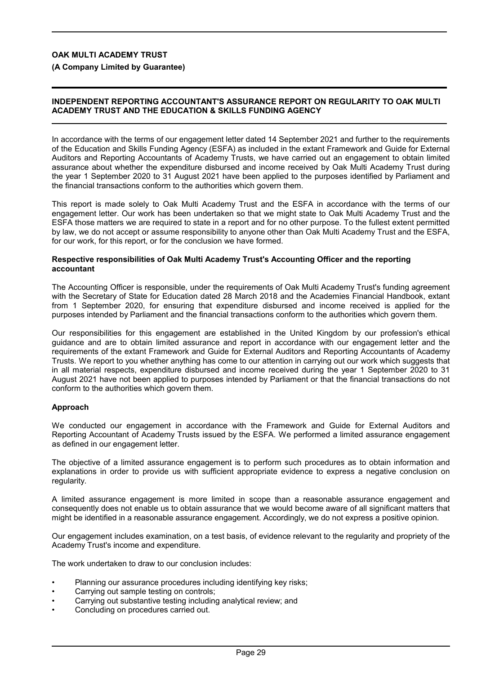**(A Company Limited by Guarantee)**

### **INDEPENDENT REPORTING ACCOUNTANT'S ASSURANCE REPORT ON REGULARITY TO OAK MULTI ACADEMY TRUST AND THE EDUCATION & SKILLS FUNDING AGENCY**

In accordance with the terms of our engagement letter dated 14 September 2021 and further to the requirements of the Education and Skills Funding Agency (ESFA) as included in the extant Framework and Guide for External Auditors and Reporting Accountants of Academy Trusts, we have carried out an engagement to obtain limited assurance about whether the expenditure disbursed and income received by Oak Multi Academy Trust during the year 1 September 2020 to 31 August 2021 have been applied to the purposes identified by Parliament and the financial transactions conform to the authorities which govern them.

This report is made solely to Oak Multi Academy Trust and the ESFA in accordance with the terms of our engagement letter. Our work has been undertaken so that we might state to Oak Multi Academy Trust and the ESFA those matters we are required to state in a report and for no other purpose. To the fullest extent permitted by law, we do not accept or assume responsibility to anyone other than Oak Multi Academy Trust and the ESFA, for our work, for this report, or for the conclusion we have formed.

#### **Respective responsibilities of Oak Multi Academy Trust's Accounting Officer and the reporting accountant**

The Accounting Officer is responsible, under the requirements of Oak Multi Academy Trust's funding agreement with the Secretary of State for Education dated 28 March 2018 and the Academies Financial Handbook, extant from 1 September 2020, for ensuring that expenditure disbursed and income received is applied for the purposes intended by Parliament and the financial transactions conform to the authorities which govern them.

Our responsibilities for this engagement are established in the United Kingdom by our profession's ethical guidance and are to obtain limited assurance and report in accordance with our engagement letter and the requirements of the extant Framework and Guide for External Auditors and Reporting Accountants of Academy Trusts. We report to you whether anything has come to our attention in carrying out our work which suggests that in all material respects, expenditure disbursed and income received during the year 1 September 2020 to 31 August 2021 have not been applied to purposes intended by Parliament or that the financial transactions do not conform to the authorities which govern them.

### **Approach**

We conducted our engagement in accordance with the Framework and Guide for External Auditors and Reporting Accountant of Academy Trusts issued by the ESFA. We performed a limited assurance engagement as defined in our engagement letter.

The objective of a limited assurance engagement is to perform such procedures as to obtain information and explanations in order to provide us with sufficient appropriate evidence to express a negative conclusion on regularity.

A limited assurance engagement is more limited in scope than a reasonable assurance engagement and consequently does not enable us to obtain assurance that we would become aware of all significant matters that might be identified in a reasonable assurance engagement. Accordingly, we do not express a positive opinion.

Our engagement includes examination, on a test basis, of evidence relevant to the regularity and propriety of the Academy Trust's income and expenditure.

The work undertaken to draw to our conclusion includes:

- Planning our assurance procedures including identifying key risks;
- Carrying out sample testing on controls;
- Carrying out substantive testing including analytical review; and
- Concluding on procedures carried out.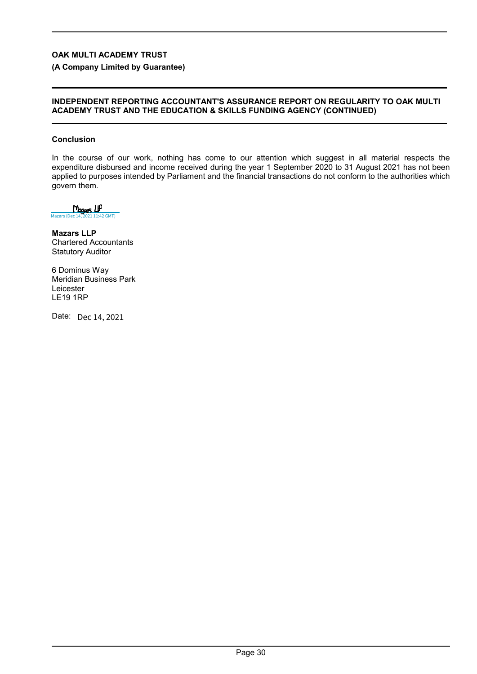**(A Company Limited by Guarantee)**

### **INDEPENDENT REPORTING ACCOUNTANT'S ASSURANCE REPORT ON REGULARITY TO OAK MULTI ACADEMY TRUST AND THE EDUCATION & SKILLS FUNDING AGENCY (CONTINUED)**

### **Conclusion**

In the course of our work, nothing has come to our attention which suggest in all material respects the expenditure disbursed and income received during the year 1 September 2020 to 31 August 2021 has not been applied to purposes intended by Parliament and the financial transactions do not conform to the authorities which govern them.

Magas LIP [Mazars \(Dec 14, 2021 11:42 GMT\)](https://mazars.eu1.documents.adobe.com/verifier?tx=CBJCHBCAABAAyn2fmC8uFOcj3xdvYPCL7ZRWccRoExLb)

**Mazars LLP** Chartered Accountants Statutory Auditor

6 Dominus Way Meridian Business Park Leicester LE19 1RP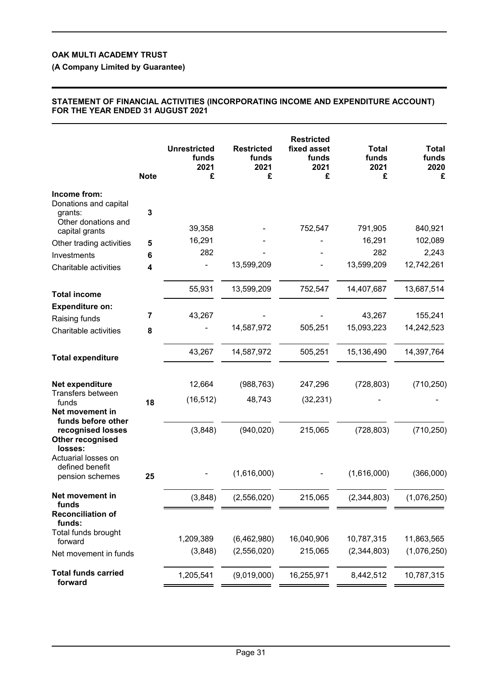**(A Company Limited by Guarantee)**

### **STATEMENT OF FINANCIAL ACTIVITIES (INCORPORATING INCOME AND EXPENDITURE ACCOUNT) FOR THE YEAR ENDED 31 AUGUST 2021**

|                                                                         | <b>Note</b>  | <b>Unrestricted</b><br>funds<br>2021<br>£ | <b>Restricted</b><br>funds<br>2021<br>£ | <b>Restricted</b><br>fixed asset<br>funds<br>2021<br>£ | <b>Total</b><br>funds<br>2021<br>£ | Total<br>funds<br>2020<br>£ |
|-------------------------------------------------------------------------|--------------|-------------------------------------------|-----------------------------------------|--------------------------------------------------------|------------------------------------|-----------------------------|
| Income from:<br>Donations and capital<br>grants:<br>Other donations and | $\mathbf{3}$ |                                           |                                         |                                                        |                                    |                             |
| capital grants                                                          |              | 39,358                                    |                                         | 752,547                                                | 791,905                            | 840,921                     |
| Other trading activities                                                | 5            | 16,291                                    |                                         |                                                        | 16,291                             | 102,089                     |
| Investments                                                             | 6            | 282                                       |                                         |                                                        | 282                                | 2,243                       |
| Charitable activities                                                   | 4            |                                           | 13,599,209                              |                                                        | 13,599,209                         | 12,742,261                  |
| <b>Total income</b>                                                     |              | 55,931                                    | 13,599,209                              | 752,547                                                | 14,407,687                         | 13,687,514                  |
| <b>Expenditure on:</b>                                                  |              |                                           |                                         |                                                        |                                    |                             |
| Raising funds                                                           | 7            | 43,267                                    |                                         |                                                        | 43,267<br>15,093,223               | 155,241                     |
| Charitable activities                                                   | 8            |                                           | 14,587,972                              | 505,251                                                |                                    | 14,242,523                  |
| <b>Total expenditure</b>                                                |              | 43,267                                    | 14,587,972                              | 505,251                                                | 15,136,490                         | 14,397,764                  |
| Net expenditure                                                         |              | 12,664                                    | (988, 763)                              | 247,296                                                | (728, 803)                         | (710, 250)                  |
| Transfers between<br>funds<br>Net movement in                           | 18           | (16, 512)                                 | 48,743                                  | (32, 231)                                              |                                    |                             |
| funds before other<br>recognised losses<br>Other recognised<br>losses:  |              | (3,848)                                   | (940, 020)                              | 215,065                                                | (728, 803)                         | (710, 250)                  |
| Actuarial losses on<br>defined benefit<br>pension schemes               | 25           |                                           | (1,616,000)                             |                                                        | (1,616,000)                        | (366,000)                   |
| Net movement in<br>funds                                                |              | (3,848)                                   | (2,556,020)                             | 215,065                                                | (2, 344, 803)                      | (1,076,250)                 |
| <b>Reconciliation of</b><br>funds:<br>Total funds brought               |              |                                           |                                         |                                                        |                                    |                             |
| forward                                                                 |              | 1,209,389                                 | (6,462,980)                             | 16,040,906                                             | 10,787,315                         | 11,863,565                  |
| Net movement in funds                                                   |              | (3,848)                                   | (2,556,020)                             | 215,065                                                | (2,344,803)                        | (1,076,250)                 |
| <b>Total funds carried</b><br>forward                                   |              | 1,205,541                                 | (9,019,000)                             | 16,255,971                                             | 8,442,512                          | 10,787,315                  |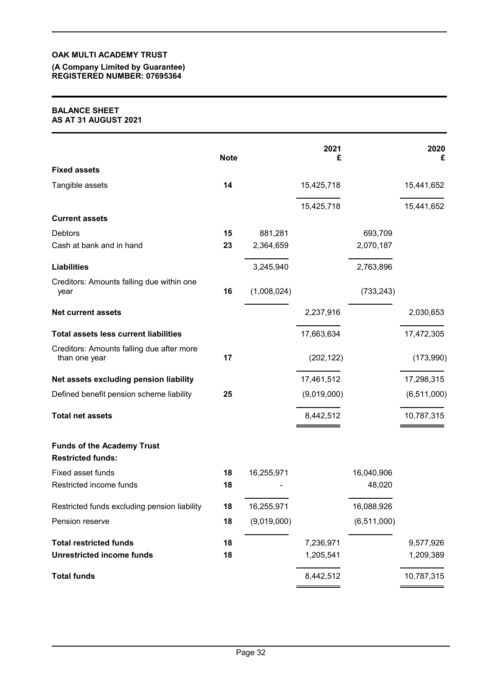#### **(A Company Limited by Guarantee) REGISTERED NUMBER: 07695364**

#### **BALANCE SHEET AS AT 31 AUGUST 2021**

|                                                               | <b>Note</b> |             | 2021<br>£   |             | 2020<br>£     |
|---------------------------------------------------------------|-------------|-------------|-------------|-------------|---------------|
| <b>Fixed assets</b>                                           |             |             |             |             |               |
| Tangible assets                                               | 14          |             | 15,425,718  |             | 15,441,652    |
|                                                               |             |             | 15,425,718  |             | 15,441,652    |
| <b>Current assets</b>                                         |             |             |             |             |               |
| <b>Debtors</b>                                                | 15          | 881,281     |             | 693,709     |               |
| Cash at bank and in hand                                      | 23          | 2,364,659   |             | 2,070,187   |               |
| <b>Liabilities</b>                                            |             | 3,245,940   |             | 2,763,896   |               |
| Creditors: Amounts falling due within one<br>year             | 16          | (1,008,024) |             | (733, 243)  |               |
| <b>Net current assets</b>                                     |             |             | 2,237,916   |             | 2,030,653     |
| <b>Total assets less current liabilities</b>                  |             |             | 17,663,634  |             | 17,472,305    |
| Creditors: Amounts falling due after more<br>than one year    | 17          |             | (202, 122)  |             | (173,990)     |
| Net assets excluding pension liability                        |             |             | 17,461,512  |             | 17,298,315    |
| Defined benefit pension scheme liability                      | 25          |             | (9,019,000) |             | (6, 511, 000) |
| <b>Total net assets</b>                                       |             |             | 8,442,512   |             | 10,787,315    |
| <b>Funds of the Academy Trust</b><br><b>Restricted funds:</b> |             |             |             |             |               |
| Fixed asset funds                                             | 18          | 16,255,971  |             | 16,040,906  |               |
| Restricted income funds                                       | 18          |             |             | 48,020      |               |
| Restricted funds excluding pension liability                  | 18          | 16,255,971  |             | 16,088,926  |               |
| Pension reserve                                               | 18          | (9,019,000) |             | (6,511,000) |               |
| <b>Total restricted funds</b>                                 | 18          |             | 7,236,971   |             | 9,577,926     |
| <b>Unrestricted income funds</b>                              | 18          |             | 1,205,541   |             | 1,209,389     |
| <b>Total funds</b>                                            |             |             | 8,442,512   |             | 10,787,315    |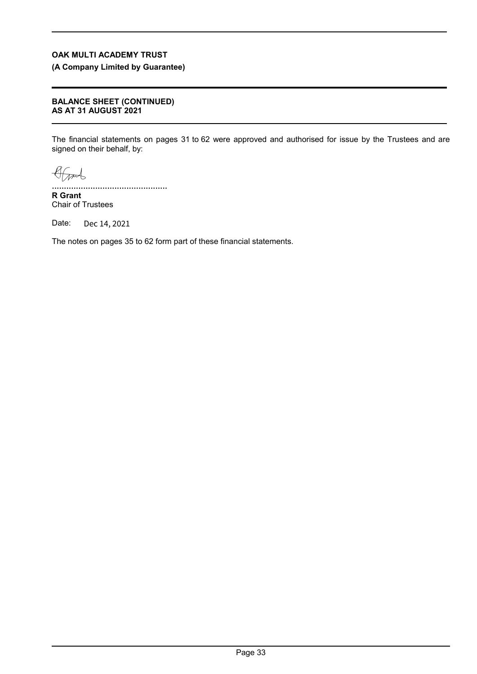**(A Company Limited by Guarantee)**

### **BALANCE SHEET (CONTINUED) AS AT 31 AUGUST 2021**

The financial statements on pages 31 to 62 were approved and authorised for issue by the Trustees and are signed on their behalf, by:

Grand

[................................................](https://eu1.documents.adobe.com/verifier?tx=CBJCHBCAABAAyn2fmC8uFOcj3xdvYPCL7ZRWccRoExLb) **R Grant**

Chair of Trustees

Date: Dec 14, 2021

The notes on pages 35 to 62 form part of these financial statements.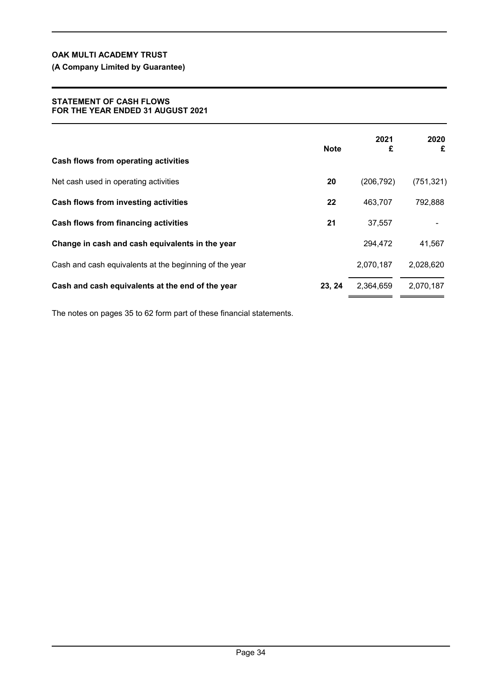**(A Company Limited by Guarantee)**

### **STATEMENT OF CASH FLOWS FOR THE YEAR ENDED 31 AUGUST 2021**

|                                                        | <b>Note</b> | 2021<br>£  | 2020<br>£  |
|--------------------------------------------------------|-------------|------------|------------|
| Cash flows from operating activities                   |             |            |            |
| Net cash used in operating activities                  | 20          | (206, 792) | (751, 321) |
| Cash flows from investing activities                   | 22          | 463,707    | 792,888    |
| <b>Cash flows from financing activities</b>            | 21          | 37,557     |            |
| Change in cash and cash equivalents in the year        |             | 294,472    | 41,567     |
| Cash and cash equivalents at the beginning of the year |             | 2,070,187  | 2,028,620  |
| Cash and cash equivalents at the end of the year       | 23, 24      | 2,364,659  | 2,070,187  |

The notes on pages 35 to 62 form part of these financial statements.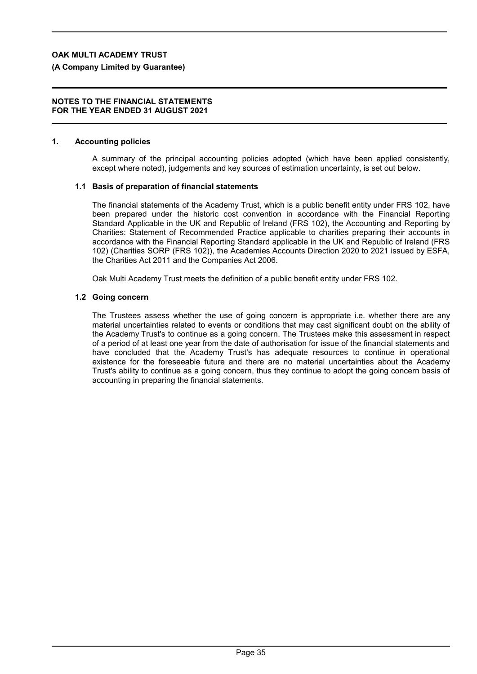### **(A Company Limited by Guarantee)**

#### **NOTES TO THE FINANCIAL STATEMENTS FOR THE YEAR ENDED 31 AUGUST 2021**

### **1. Accounting policies**

A summary of the principal accounting policies adopted (which have been applied consistently, except where noted), judgements and key sources of estimation uncertainty, is set out below.

#### **1.1 Basis of preparation of financial statements**

The financial statements of the Academy Trust, which is a public benefit entity under FRS 102, have been prepared under the historic cost convention in accordance with the Financial Reporting Standard Applicable in the UK and Republic of Ireland (FRS 102), the Accounting and Reporting by Charities: Statement of Recommended Practice applicable to charities preparing their accounts in accordance with the Financial Reporting Standard applicable in the UK and Republic of Ireland (FRS 102) (Charities SORP (FRS 102)), the Academies Accounts Direction 2020 to 2021 issued by ESFA, the Charities Act 2011 and the Companies Act 2006.

Oak Multi Academy Trust meets the definition of a public benefit entity under FRS 102.

### **1.2 Going concern**

The Trustees assess whether the use of going concern is appropriate i.e. whether there are any material uncertainties related to events or conditions that may cast significant doubt on the ability of the Academy Trust's to continue as a going concern. The Trustees make this assessment in respect of a period of at least one year from the date of authorisation for issue of the financial statements and have concluded that the Academy Trust's has adequate resources to continue in operational existence for the foreseeable future and there are no material uncertainties about the Academy Trust's ability to continue as a going concern, thus they continue to adopt the going concern basis of accounting in preparing the financial statements.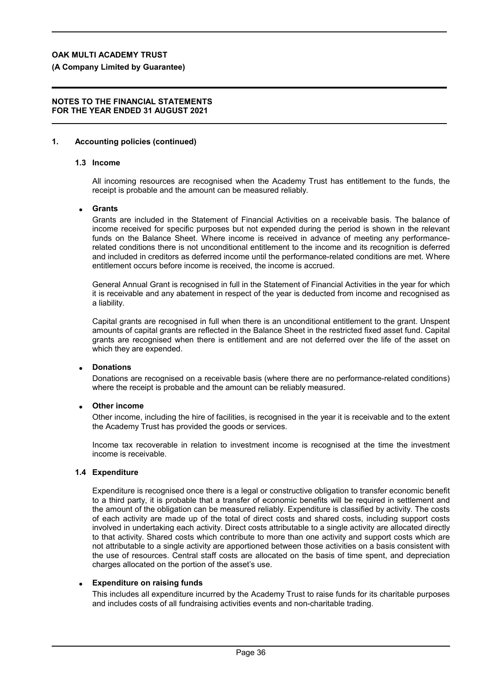**(A Company Limited by Guarantee)**

#### **NOTES TO THE FINANCIAL STATEMENTS FOR THE YEAR ENDED 31 AUGUST 2021**

### **1. Accounting policies (continued)**

### **1.3 Income**

All incoming resources are recognised when the Academy Trust has entitlement to the funds, the receipt is probable and the amount can be measured reliably.

#### **Grants**

Grants are included in the Statement of Financial Activities on a receivable basis. The balance of income received for specific purposes but not expended during the period is shown in the relevant funds on the Balance Sheet. Where income is received in advance of meeting any performancerelated conditions there is not unconditional entitlement to the income and its recognition is deferred and included in creditors as deferred income until the performance-related conditions are met. Where entitlement occurs before income is received, the income is accrued.

General Annual Grant is recognised in full in the Statement of Financial Activities in the year for which it is receivable and any abatement in respect of the year is deducted from income and recognised as a liability.

Capital grants are recognised in full when there is an unconditional entitlement to the grant. Unspent amounts of capital grants are reflected in the Balance Sheet in the restricted fixed asset fund. Capital grants are recognised when there is entitlement and are not deferred over the life of the asset on which they are expended.

### **Donations**

Donations are recognised on a receivable basis (where there are no performance-related conditions) where the receipt is probable and the amount can be reliably measured.

### **Other income**

Other income, including the hire of facilities, is recognised in the year it is receivable and to the extent the Academy Trust has provided the goods or services.

Income tax recoverable in relation to investment income is recognised at the time the investment income is receivable.

#### **1.4 Expenditure**

Expenditure is recognised once there is a legal or constructive obligation to transfer economic benefit to a third party, it is probable that a transfer of economic benefits will be required in settlement and the amount of the obligation can be measured reliably. Expenditure is classified by activity. The costs of each activity are made up of the total of direct costs and shared costs, including support costs involved in undertaking each activity. Direct costs attributable to a single activity are allocated directly to that activity. Shared costs which contribute to more than one activity and support costs which are not attributable to a single activity are apportioned between those activities on a basis consistent with the use of resources. Central staff costs are allocated on the basis of time spent, and depreciation charges allocated on the portion of the asset's use.

### **Expenditure on raising funds**

This includes all expenditure incurred by the Academy Trust to raise funds for its charitable purposes and includes costs of all fundraising activities events and non-charitable trading.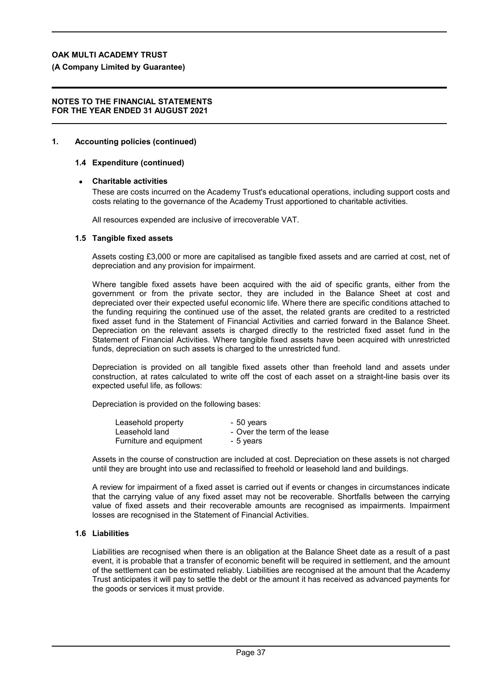**(A Company Limited by Guarantee)**

#### **NOTES TO THE FINANCIAL STATEMENTS FOR THE YEAR ENDED 31 AUGUST 2021**

#### **1. Accounting policies (continued)**

### **1.4 Expenditure (continued)**

#### **Charitable activities**

These are costs incurred on the Academy Trust's educational operations, including support costs and costs relating to the governance of the Academy Trust apportioned to charitable activities.

All resources expended are inclusive of irrecoverable VAT.

### **1.5 Tangible fixed assets**

Assets costing £3,000 or more are capitalised as tangible fixed assets and are carried at cost, net of depreciation and any provision for impairment.

Where tangible fixed assets have been acquired with the aid of specific grants, either from the government or from the private sector, they are included in the Balance Sheet at cost and depreciated over their expected useful economic life. Where there are specific conditions attached to the funding requiring the continued use of the asset, the related grants are credited to a restricted fixed asset fund in the Statement of Financial Activities and carried forward in the Balance Sheet. Depreciation on the relevant assets is charged directly to the restricted fixed asset fund in the Statement of Financial Activities. Where tangible fixed assets have been acquired with unrestricted funds, depreciation on such assets is charged to the unrestricted fund.

Depreciation is provided on all tangible fixed assets other than freehold land and assets under construction, at rates calculated to write off the cost of each asset on a straight-line basis over its expected useful life, as follows:

Depreciation is provided on the following bases:

| Leasehold property      | - 50 years                   |
|-------------------------|------------------------------|
| Leasehold land          | - Over the term of the lease |
| Furniture and equipment | - 5 years                    |

Assets in the course of construction are included at cost. Depreciation on these assets is not charged until they are brought into use and reclassified to freehold or leasehold land and buildings.

A review for impairment of a fixed asset is carried out if events or changes in circumstances indicate that the carrying value of any fixed asset may not be recoverable. Shortfalls between the carrying value of fixed assets and their recoverable amounts are recognised as impairments. Impairment losses are recognised in the Statement of Financial Activities.

#### **1.6 Liabilities**

Liabilities are recognised when there is an obligation at the Balance Sheet date as a result of a past event, it is probable that a transfer of economic benefit will be required in settlement, and the amount of the settlement can be estimated reliably. Liabilities are recognised at the amount that the Academy Trust anticipates it will pay to settle the debt or the amount it has received as advanced payments for the goods or services it must provide.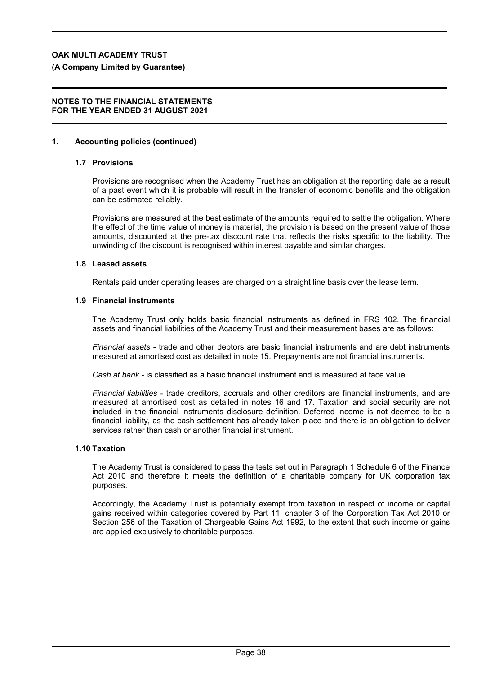**(A Company Limited by Guarantee)**

#### **NOTES TO THE FINANCIAL STATEMENTS FOR THE YEAR ENDED 31 AUGUST 2021**

### **1. Accounting policies (continued)**

### **1.7 Provisions**

Provisions are recognised when the Academy Trust has an obligation at the reporting date as a result of a past event which it is probable will result in the transfer of economic benefits and the obligation can be estimated reliably.

Provisions are measured at the best estimate of the amounts required to settle the obligation. Where the effect of the time value of money is material, the provision is based on the present value of those amounts, discounted at the pre-tax discount rate that reflects the risks specific to the liability. The unwinding of the discount is recognised within interest payable and similar charges.

#### **1.8 Leased assets**

Rentals paid under operating leases are charged on a straight line basis over the lease term.

#### **1.9 Financial instruments**

The Academy Trust only holds basic financial instruments as defined in FRS 102. The financial assets and financial liabilities of the Academy Trust and their measurement bases are as follows:

*Financial assets* - trade and other debtors are basic financial instruments and are debt instruments measured at amortised cost as detailed in note 15. Prepayments are not financial instruments.

*Cash at bank* - is classified as a basic financial instrument and is measured at face value.

*Financial liabilities* - trade creditors, accruals and other creditors are financial instruments, and are measured at amortised cost as detailed in notes 16 and 17. Taxation and social security are not included in the financial instruments disclosure definition. Deferred income is not deemed to be a financial liability, as the cash settlement has already taken place and there is an obligation to deliver services rather than cash or another financial instrument.

### **1.10 Taxation**

The Academy Trust is considered to pass the tests set out in Paragraph 1 Schedule 6 of the Finance Act 2010 and therefore it meets the definition of a charitable company for UK corporation tax purposes.

Accordingly, the Academy Trust is potentially exempt from taxation in respect of income or capital gains received within categories covered by Part 11, chapter 3 of the Corporation Tax Act 2010 or Section 256 of the Taxation of Chargeable Gains Act 1992, to the extent that such income or gains are applied exclusively to charitable purposes.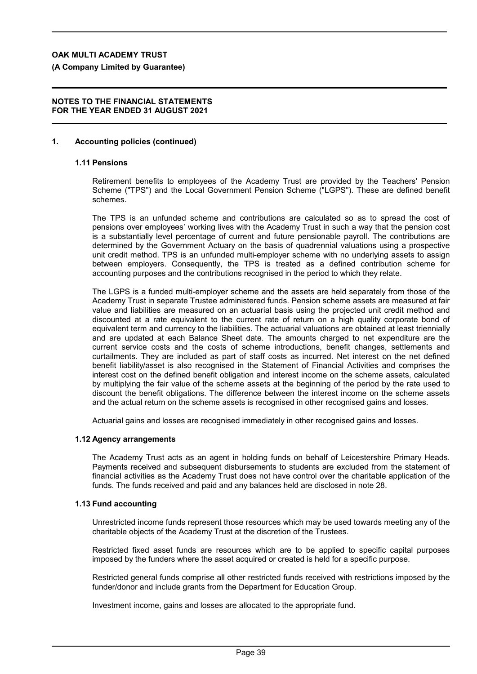**(A Company Limited by Guarantee)**

#### **NOTES TO THE FINANCIAL STATEMENTS FOR THE YEAR ENDED 31 AUGUST 2021**

### **1. Accounting policies (continued)**

### **1.11 Pensions**

Retirement benefits to employees of the Academy Trust are provided by the Teachers' Pension Scheme ("TPS") and the Local Government Pension Scheme ("LGPS"). These are defined benefit schemes.

The TPS is an unfunded scheme and contributions are calculated so as to spread the cost of pensions over employees' working lives with the Academy Trust in such a way that the pension cost is a substantially level percentage of current and future pensionable payroll. The contributions are determined by the Government Actuary on the basis of quadrennial valuations using a prospective unit credit method. TPS is an unfunded multi-employer scheme with no underlying assets to assign between employers. Consequently, the TPS is treated as a defined contribution scheme for accounting purposes and the contributions recognised in the period to which they relate.

The LGPS is a funded multi-employer scheme and the assets are held separately from those of the Academy Trust in separate Trustee administered funds. Pension scheme assets are measured at fair value and liabilities are measured on an actuarial basis using the projected unit credit method and discounted at a rate equivalent to the current rate of return on a high quality corporate bond of equivalent term and currency to the liabilities. The actuarial valuations are obtained at least triennially and are updated at each Balance Sheet date. The amounts charged to net expenditure are the current service costs and the costs of scheme introductions, benefit changes, settlements and curtailments. They are included as part of staff costs as incurred. Net interest on the net defined benefit liability/asset is also recognised in the Statement of Financial Activities and comprises the interest cost on the defined benefit obligation and interest income on the scheme assets, calculated by multiplying the fair value of the scheme assets at the beginning of the period by the rate used to discount the benefit obligations. The difference between the interest income on the scheme assets and the actual return on the scheme assets is recognised in other recognised gains and losses.

Actuarial gains and losses are recognised immediately in other recognised gains and losses.

#### **1.12 Agency arrangements**

The Academy Trust acts as an agent in holding funds on behalf of Leicestershire Primary Heads. Payments received and subsequent disbursements to students are excluded from the statement of financial activities as the Academy Trust does not have control over the charitable application of the funds. The funds received and paid and any balances held are disclosed in note 28.

### **1.13 Fund accounting**

Unrestricted income funds represent those resources which may be used towards meeting any of the charitable objects of the Academy Trust at the discretion of the Trustees.

Restricted fixed asset funds are resources which are to be applied to specific capital purposes imposed by the funders where the asset acquired or created is held for a specific purpose.

Restricted general funds comprise all other restricted funds received with restrictions imposed by the funder/donor and include grants from the Department for Education Group.

Investment income, gains and losses are allocated to the appropriate fund.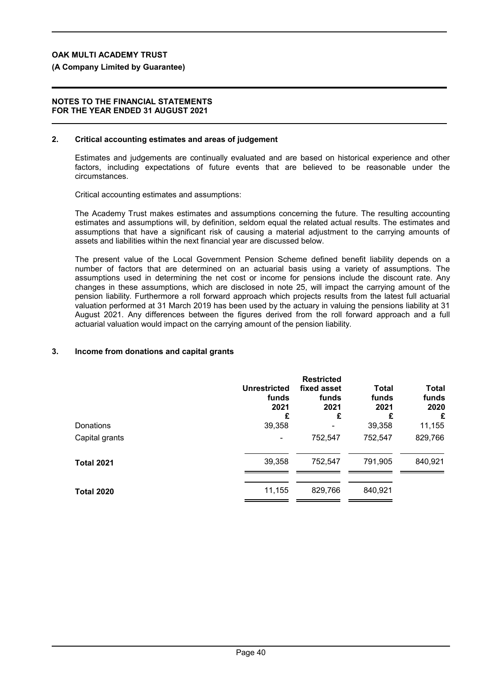### **(A Company Limited by Guarantee)**

#### **NOTES TO THE FINANCIAL STATEMENTS FOR THE YEAR ENDED 31 AUGUST 2021**

#### **2. Critical accounting estimates and areas of judgement**

Estimates and judgements are continually evaluated and are based on historical experience and other factors, including expectations of future events that are believed to be reasonable under the circumstances.

Critical accounting estimates and assumptions:

The Academy Trust makes estimates and assumptions concerning the future. The resulting accounting estimates and assumptions will, by definition, seldom equal the related actual results. The estimates and assumptions that have a significant risk of causing a material adjustment to the carrying amounts of assets and liabilities within the next financial year are discussed below.

The present value of the Local Government Pension Scheme defined benefit liability depends on a number of factors that are determined on an actuarial basis using a variety of assumptions. The assumptions used in determining the net cost or income for pensions include the discount rate. Any changes in these assumptions, which are disclosed in note 25, will impact the carrying amount of the pension liability. Furthermore a roll forward approach which projects results from the latest full actuarial valuation performed at 31 March 2019 has been used by the actuary in valuing the pensions liability at 31 August 2021. Any differences between the figures derived from the roll forward approach and a full actuarial valuation would impact on the carrying amount of the pension liability.

### **3. Income from donations and capital grants**

|                   | <b>Unrestricted</b><br>funds<br>2021<br>£ | <b>Restricted</b><br>fixed asset<br>funds<br>2021<br>£ | <b>Total</b><br>funds<br>2021<br>£ | <b>Total</b><br>funds<br>2020<br>£ |
|-------------------|-------------------------------------------|--------------------------------------------------------|------------------------------------|------------------------------------|
| Donations         | 39,358                                    |                                                        | 39,358                             | 11,155                             |
| Capital grants    |                                           | 752,547                                                | 752,547                            | 829,766                            |
| <b>Total 2021</b> | 39,358                                    | 752,547                                                | 791,905                            | 840,921                            |
| <b>Total 2020</b> | 11,155                                    | 829,766                                                | 840,921                            |                                    |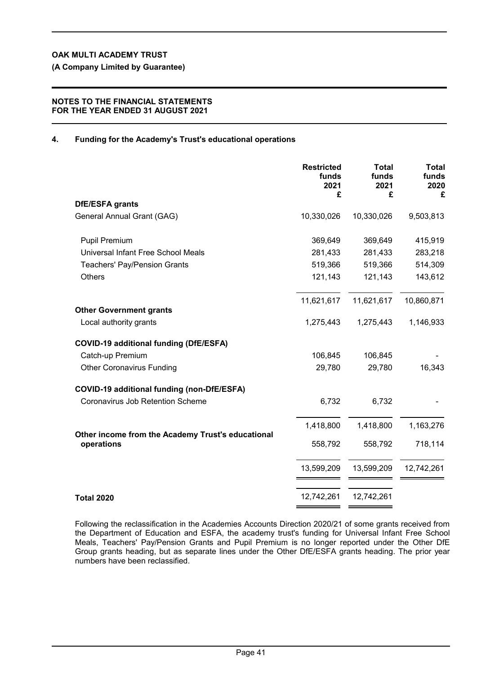**(A Company Limited by Guarantee)**

### **NOTES TO THE FINANCIAL STATEMENTS FOR THE YEAR ENDED 31 AUGUST 2021**

## **4. Funding for the Academy's Trust's educational operations**

|                                                                 | <b>Restricted</b><br>funds<br>2021<br>£ | <b>Total</b><br>funds<br>2021<br>£ | <b>Total</b><br>funds<br>2020<br>£ |
|-----------------------------------------------------------------|-----------------------------------------|------------------------------------|------------------------------------|
| DfE/ESFA grants                                                 |                                         |                                    |                                    |
| General Annual Grant (GAG)                                      | 10,330,026                              | 10,330,026                         | 9,503,813                          |
| <b>Pupil Premium</b>                                            | 369,649                                 | 369,649                            | 415,919                            |
| Universal Infant Free School Meals                              | 281,433                                 | 281,433                            | 283,218                            |
| <b>Teachers' Pay/Pension Grants</b>                             | 519,366                                 | 519,366                            | 514,309                            |
| Others                                                          | 121,143                                 | 121,143                            | 143,612                            |
|                                                                 | 11,621,617                              | 11,621,617                         | 10,860,871                         |
| <b>Other Government grants</b>                                  |                                         |                                    |                                    |
| Local authority grants                                          | 1,275,443                               | 1,275,443                          | 1,146,933                          |
| <b>COVID-19 additional funding (DfE/ESFA)</b>                   |                                         |                                    |                                    |
| Catch-up Premium                                                | 106,845                                 | 106,845                            |                                    |
| <b>Other Coronavirus Funding</b>                                | 29,780                                  | 29,780                             | 16,343                             |
| COVID-19 additional funding (non-DfE/ESFA)                      |                                         |                                    |                                    |
| Coronavirus Job Retention Scheme                                | 6,732                                   | 6,732                              |                                    |
|                                                                 | 1,418,800                               | 1,418,800                          | 1,163,276                          |
| Other income from the Academy Trust's educational<br>operations | 558,792                                 | 558,792                            | 718,114                            |
|                                                                 | 13,599,209                              | 13,599,209                         | 12,742,261                         |
| <b>Total 2020</b>                                               | 12,742,261                              | 12,742,261                         |                                    |

Following the reclassification in the Academies Accounts Direction 2020/21 of some grants received from the Department of Education and ESFA, the academy trust's funding for Universal Infant Free School Meals, Teachers' Pay/Pension Grants and Pupil Premium is no longer reported under the Other DfE Group grants heading, but as separate lines under the Other DfE/ESFA grants heading. The prior year numbers have been reclassified.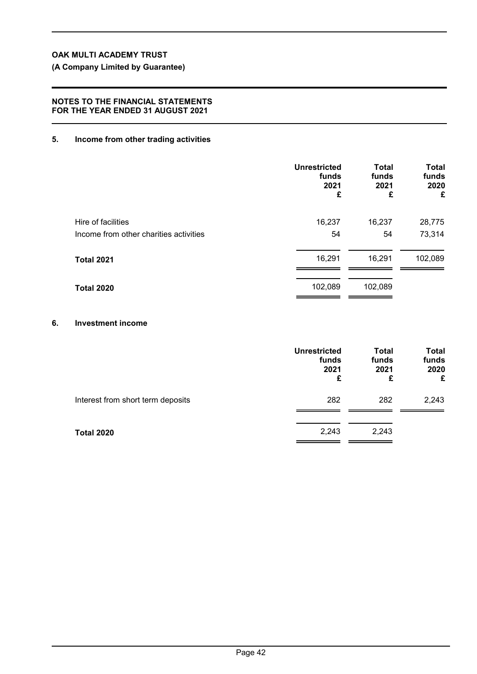**(A Company Limited by Guarantee)**

### **NOTES TO THE FINANCIAL STATEMENTS FOR THE YEAR ENDED 31 AUGUST 2021**

### **5. Income from other trading activities**

|                                        | <b>Unrestricted</b><br>funds<br>2021<br>£ | <b>Total</b><br>funds<br>2021<br>£ | <b>Total</b><br>funds<br>2020<br>£ |
|----------------------------------------|-------------------------------------------|------------------------------------|------------------------------------|
| Hire of facilities                     | 16,237                                    | 16,237                             | 28,775                             |
| Income from other charities activities | 54                                        | 54                                 | 73,314                             |
| <b>Total 2021</b>                      | 16,291                                    | 16,291                             | 102,089                            |
| <b>Total 2020</b>                      | 102,089                                   | 102,089                            |                                    |

### **6. Investment income**

|                                   | <b>Unrestricted</b><br>funds<br>2021<br>£ | <b>Total</b><br>funds<br>2021<br>£ | <b>Total</b><br>funds<br>2020<br>£ |
|-----------------------------------|-------------------------------------------|------------------------------------|------------------------------------|
| Interest from short term deposits | 282                                       | 282                                | 2,243                              |
| <b>Total 2020</b>                 | 2,243                                     | 2,243                              |                                    |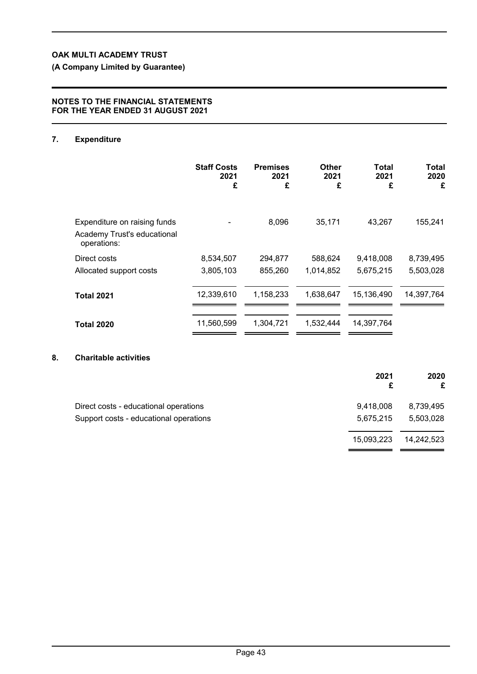**(A Company Limited by Guarantee)**

### **NOTES TO THE FINANCIAL STATEMENTS FOR THE YEAR ENDED 31 AUGUST 2021**

## **7. Expenditure**

|                                                                            | <b>Staff Costs</b><br>2021<br>£ | <b>Premises</b><br>2021<br>£ | Other<br>2021<br>£   | Total<br>2021<br>£     | <b>Total</b><br>2020<br>£ |
|----------------------------------------------------------------------------|---------------------------------|------------------------------|----------------------|------------------------|---------------------------|
| Expenditure on raising funds<br>Academy Trust's educational<br>operations: |                                 | 8,096                        | 35,171               | 43,267                 | 155,241                   |
| Direct costs<br>Allocated support costs                                    | 8,534,507<br>3,805,103          | 294,877<br>855,260           | 588,624<br>1,014,852 | 9,418,008<br>5,675,215 | 8,739,495<br>5,503,028    |
| <b>Total 2021</b>                                                          | 12,339,610                      | 1,158,233                    | 1,638,647            | 15,136,490             | 14,397,764                |
| <b>Total 2020</b>                                                          | 11,560,599                      | 1,304,721                    | 1,532,444            | 14,397,764             |                           |

## **8. Charitable activities**

|                                        | 2021       | 2020<br>£  |
|----------------------------------------|------------|------------|
| Direct costs - educational operations  | 9,418,008  | 8,739,495  |
| Support costs - educational operations | 5,675,215  | 5,503,028  |
|                                        | 15,093,223 | 14,242,523 |
|                                        |            |            |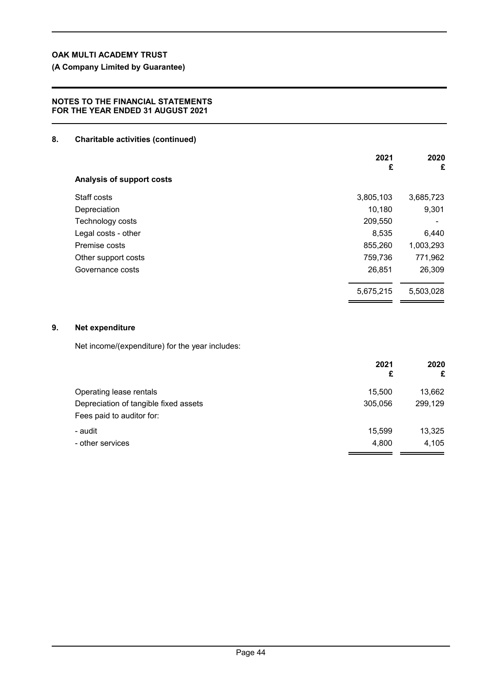**(A Company Limited by Guarantee)**

### **NOTES TO THE FINANCIAL STATEMENTS FOR THE YEAR ENDED 31 AUGUST 2021**

### **8. Charitable activities (continued)**

|                           | 2021<br>£ | 2020<br>£ |
|---------------------------|-----------|-----------|
| Analysis of support costs |           |           |
| Staff costs               | 3,805,103 | 3,685,723 |
| Depreciation              | 10,180    | 9,301     |
| Technology costs          | 209,550   |           |
| Legal costs - other       | 8,535     | 6,440     |
| Premise costs             | 855,260   | 1,003,293 |
| Other support costs       | 759,736   | 771,962   |
| Governance costs          | 26,851    | 26,309    |
|                           | 5,675,215 | 5,503,028 |
|                           |           |           |

## **9. Net expenditure**

Net income/(expenditure) for the year includes:

| 2021<br>£ | 2020<br>£ |
|-----------|-----------|
| 15,500    | 13,662    |
| 305,056   | 299,129   |
|           |           |
| 15,599    | 13,325    |
| 4,800     | 4,105     |
|           |           |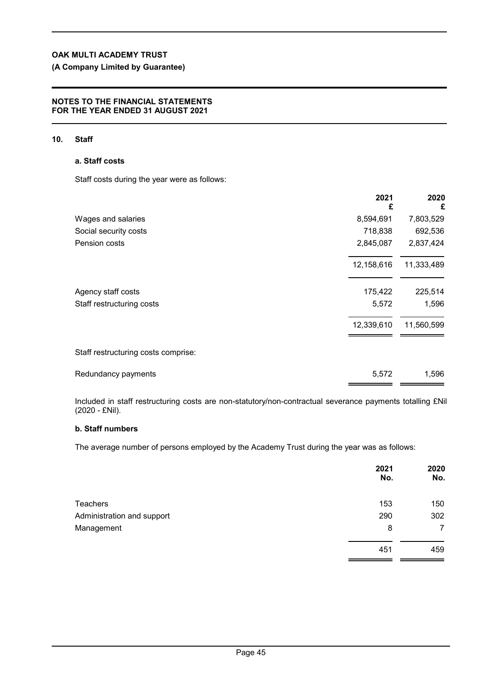## **(A Company Limited by Guarantee)**

### **NOTES TO THE FINANCIAL STATEMENTS FOR THE YEAR ENDED 31 AUGUST 2021**

### **10. Staff**

### **a. Staff costs**

Staff costs during the year were as follows:

|                                     | 2021<br>£  | 2020<br>£  |
|-------------------------------------|------------|------------|
| Wages and salaries                  | 8,594,691  | 7,803,529  |
| Social security costs               | 718,838    | 692,536    |
| Pension costs                       | 2,845,087  | 2,837,424  |
|                                     | 12,158,616 | 11,333,489 |
| Agency staff costs                  | 175,422    | 225,514    |
| Staff restructuring costs           | 5,572      | 1,596      |
|                                     | 12,339,610 | 11,560,599 |
| Staff restructuring costs comprise: |            |            |
| Redundancy payments                 | 5,572      | 1,596      |

Included in staff restructuring costs are non-statutory/non-contractual severance payments totalling £Nil (2020 - £Nil).

## **b. Staff numbers**

The average number of persons employed by the Academy Trust during the year was as follows:

|                            | 2021<br>No. | 2020<br>No. |
|----------------------------|-------------|-------------|
| <b>Teachers</b>            | 153         | 150         |
| Administration and support | 290         | 302         |
| Management                 | 8           | 7           |
|                            | 451         | 459         |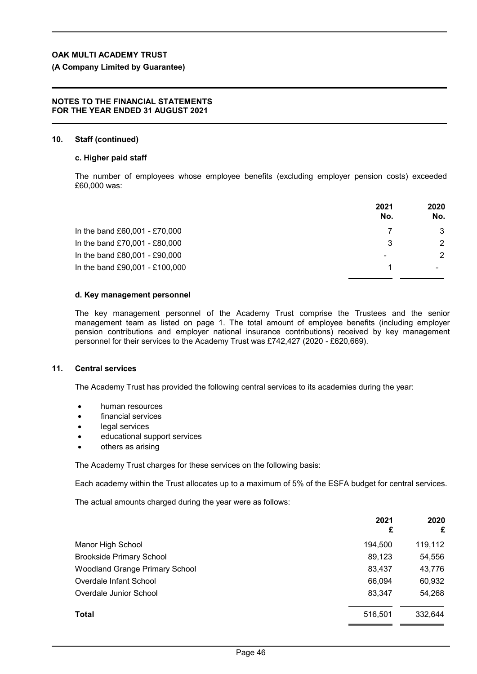## **(A Company Limited by Guarantee)**

### **NOTES TO THE FINANCIAL STATEMENTS FOR THE YEAR ENDED 31 AUGUST 2021**

## **10. Staff (continued)**

## **c. Higher paid staff**

The number of employees whose employee benefits (excluding employer pension costs) exceeded £60,000 was:

|                                | 2021<br>No. | 2020<br>No.              |
|--------------------------------|-------------|--------------------------|
| In the band £60,001 - £70,000  |             | 3                        |
| In the band £70,001 - £80,000  | 3           | 2                        |
| In the band £80,001 - £90,000  | ۰           | 2                        |
| In the band £90,001 - £100,000 |             | $\overline{\phantom{0}}$ |

#### **d. Key management personnel**

The key management personnel of the Academy Trust comprise the Trustees and the senior management team as listed on page 1. The total amount of employee benefits (including employer pension contributions and employer national insurance contributions) received by key management personnel for their services to the Academy Trust was £742,427 (2020 *-* £620,669).

### **11. Central services**

The Academy Trust has provided the following central services to its academies during the year:

- human resources
- financial services
- legal services
- educational support services
- others as arising

The Academy Trust charges for these services on the following basis:

Each academy within the Trust allocates up to a maximum of 5% of the ESFA budget for central services.

The actual amounts charged during the year were as follows:

|                                       | 2021<br>£ | 2020<br>£ |
|---------------------------------------|-----------|-----------|
| Manor High School                     | 194,500   | 119,112   |
| <b>Brookside Primary School</b>       | 89,123    | 54,556    |
| <b>Woodland Grange Primary School</b> | 83,437    | 43,776    |
| Overdale Infant School                | 66.094    | 60,932    |
| Overdale Junior School                | 83,347    | 54,268    |
| <b>Total</b>                          | 516,501   | 332,644   |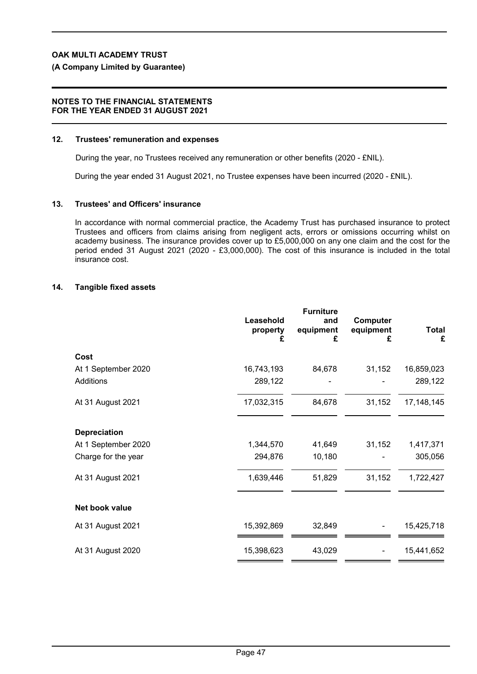### **(A Company Limited by Guarantee)**

### **NOTES TO THE FINANCIAL STATEMENTS FOR THE YEAR ENDED 31 AUGUST 2021**

### **12. Trustees' remuneration and expenses**

During the year, no Trustees received any remuneration or other benefits (2020 - £NIL).

During the year ended 31 August 2021, no Trustee expenses have been incurred (2020 - £NIL).

#### **13. Trustees' and Officers' insurance**

In accordance with normal commercial practice, the Academy Trust has purchased insurance to protect Trustees and officers from claims arising from negligent acts, errors or omissions occurring whilst on academy business. The insurance provides cover up to £5,000,000 on any one claim and the cost for the period ended 31 August 2021 (2020 - £3,000,000). The cost of this insurance is included in the total insurance cost.

### **14. Tangible fixed assets**

|                     | Leasehold<br>property<br>£ | <b>Furniture</b><br>and<br>equipment<br>£ | Computer<br>equipment<br>£ | <b>Total</b><br>£ |
|---------------------|----------------------------|-------------------------------------------|----------------------------|-------------------|
| Cost                |                            |                                           |                            |                   |
| At 1 September 2020 | 16,743,193                 | 84,678                                    | 31,152                     | 16,859,023        |
| Additions           | 289,122                    |                                           |                            | 289,122           |
| At 31 August 2021   | 17,032,315                 | 84,678                                    | 31,152                     | 17, 148, 145      |
| <b>Depreciation</b> |                            |                                           |                            |                   |
| At 1 September 2020 | 1,344,570                  | 41,649                                    | 31,152                     | 1,417,371         |
| Charge for the year | 294,876                    | 10,180                                    |                            | 305,056           |
| At 31 August 2021   | 1,639,446                  | 51,829                                    | 31,152                     | 1,722,427         |
| Net book value      |                            |                                           |                            |                   |
| At 31 August 2021   | 15,392,869                 | 32,849                                    |                            | 15,425,718        |
| At 31 August 2020   | 15,398,623                 | 43,029                                    |                            | 15,441,652        |
|                     |                            |                                           |                            |                   |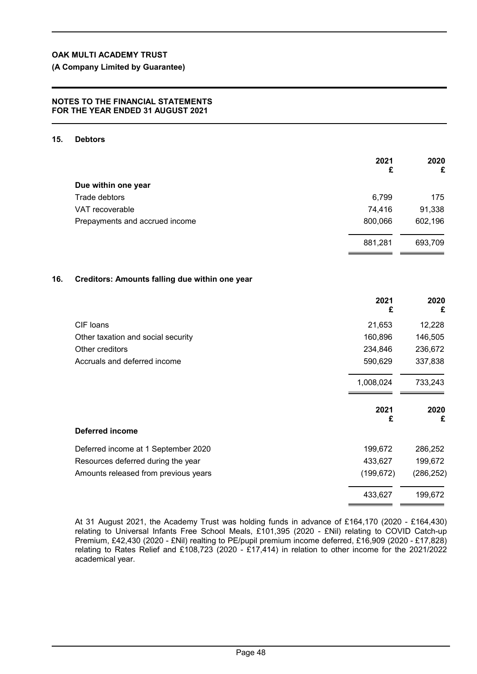**(A Company Limited by Guarantee)**

### **NOTES TO THE FINANCIAL STATEMENTS FOR THE YEAR ENDED 31 AUGUST 2021**

#### **15. Debtors**

|     |                                                | 2021<br>£  | 2020<br>£  |
|-----|------------------------------------------------|------------|------------|
|     | Due within one year                            |            |            |
|     | Trade debtors                                  | 6,799      | 175        |
|     | VAT recoverable                                | 74,416     | 91,338     |
|     | Prepayments and accrued income                 | 800,066    | 602,196    |
|     |                                                | 881,281    | 693,709    |
| 16. | Creditors: Amounts falling due within one year |            |            |
|     |                                                | 2021<br>£  | 2020<br>£  |
|     | CIF loans                                      | 21,653     | 12,228     |
|     | Other taxation and social security             | 160,896    | 146,505    |
|     | Other creditors                                | 234,846    | 236,672    |
|     | Accruals and deferred income                   | 590,629    | 337,838    |
|     |                                                | 1,008,024  | 733,243    |
|     |                                                | 2021<br>£  | 2020<br>£  |
|     | Deferred income                                |            |            |
|     | Deferred income at 1 September 2020            | 199,672    | 286,252    |
|     | Resources deferred during the year             | 433,627    | 199,672    |
|     | Amounts released from previous years           | (199, 672) | (286, 252) |
|     |                                                | 433,627    | 199,672    |

At 31 August 2021, the Academy Trust was holding funds in advance of £164,170 (2020 - £164,430) relating to Universal Infants Free School Meals, £101,395 (2020 - £Nil) relating to COVID Catch-up Premium, £42,430 (2020 - £Nil) realting to PE/pupil premium income deferred, £16,909 (2020 - £17,828) relating to Rates Relief and £108,723 (2020 - £17,414) in relation to other income for the 2021/2022 academical year.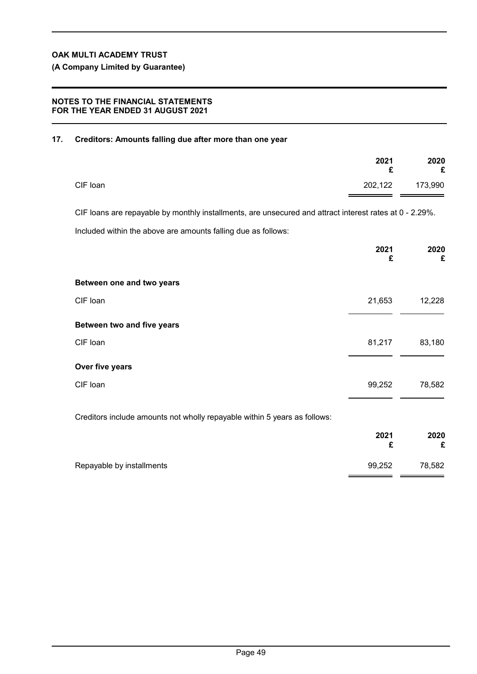**(A Company Limited by Guarantee)**

### **NOTES TO THE FINANCIAL STATEMENTS FOR THE YEAR ENDED 31 AUGUST 2021**

## **17. Creditors: Amounts falling due after more than one year**

|          | 2021<br>£ | 2020<br>£ |
|----------|-----------|-----------|
| CIF loan | 202,122   | 173,990   |

CIF loans are repayable by monthly installments, are unsecured and attract interest rates at 0 - 2.29%. Included within the above are amounts falling due as follows:

|                                                                           | 2021<br>£ | 2020<br>£ |
|---------------------------------------------------------------------------|-----------|-----------|
| Between one and two years                                                 |           |           |
| CIF loan                                                                  | 21,653    | 12,228    |
| Between two and five years                                                |           |           |
| CIF loan                                                                  | 81,217    | 83,180    |
| Over five years                                                           |           |           |
| CIF loan                                                                  | 99,252    | 78,582    |
| Creditors include amounts not wholly repayable within 5 years as follows: |           |           |
|                                                                           | 2021<br>£ | 2020<br>£ |

| Repayable by installments | 99.252 | 78,582 |
|---------------------------|--------|--------|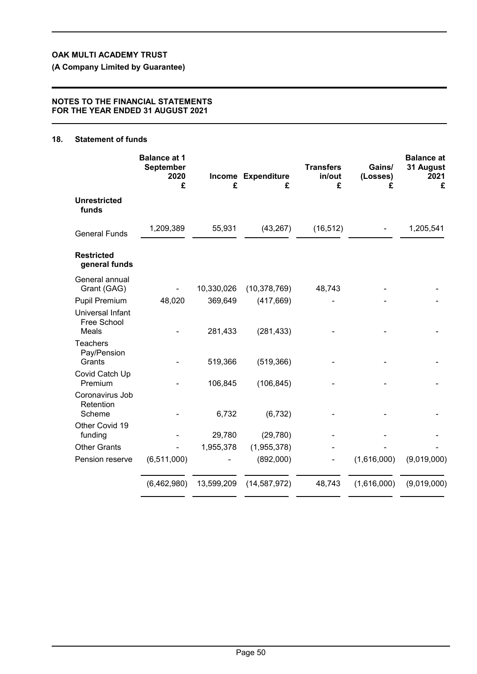**(A Company Limited by Guarantee)**

### **NOTES TO THE FINANCIAL STATEMENTS FOR THE YEAR ENDED 31 AUGUST 2021**

## **18. Statement of funds**

|                                                 | <b>Balance at 1</b><br><b>September</b><br>2020<br>£ | £          | Income Expenditure<br>£ | <b>Transfers</b><br>in/out<br>£ | Gains/<br>(Losses)<br>£ | <b>Balance at</b><br>31 August<br>2021<br>£ |
|-------------------------------------------------|------------------------------------------------------|------------|-------------------------|---------------------------------|-------------------------|---------------------------------------------|
| <b>Unrestricted</b><br>funds                    |                                                      |            |                         |                                 |                         |                                             |
| <b>General Funds</b>                            | 1,209,389                                            | 55,931     | (43, 267)               | (16, 512)                       |                         | 1,205,541                                   |
| <b>Restricted</b><br>general funds              |                                                      |            |                         |                                 |                         |                                             |
| General annual<br>Grant (GAG)                   |                                                      | 10,330,026 | (10, 378, 769)          | 48,743                          |                         |                                             |
| <b>Pupil Premium</b>                            | 48,020                                               | 369,649    | (417, 669)              |                                 |                         |                                             |
| Universal Infant<br>Free School<br><b>Meals</b> |                                                      | 281,433    | (281, 433)              |                                 |                         |                                             |
| <b>Teachers</b><br>Pay/Pension<br>Grants        |                                                      | 519,366    | (519, 366)              |                                 |                         |                                             |
| Covid Catch Up<br>Premium                       |                                                      | 106,845    | (106, 845)              |                                 |                         |                                             |
| Coronavirus Job<br>Retention<br>Scheme          |                                                      | 6,732      | (6, 732)                |                                 |                         |                                             |
| Other Covid 19<br>funding                       |                                                      | 29,780     | (29, 780)               |                                 |                         |                                             |
| <b>Other Grants</b>                             |                                                      | 1,955,378  | (1,955,378)             |                                 |                         |                                             |
| Pension reserve                                 | (6, 511, 000)                                        |            | (892,000)               |                                 | (1,616,000)             | (9,019,000)                                 |
|                                                 | (6,462,980)                                          | 13,599,209 | (14, 587, 972)          | 48,743                          | (1,616,000)             | (9,019,000)                                 |
|                                                 |                                                      |            |                         |                                 |                         |                                             |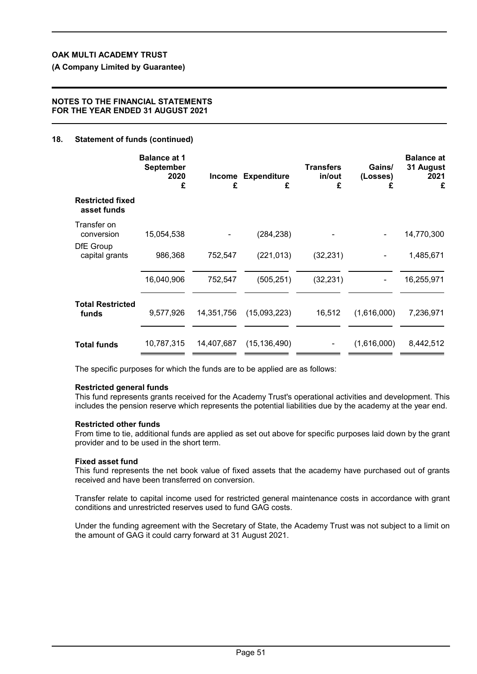**(A Company Limited by Guarantee)**

#### **NOTES TO THE FINANCIAL STATEMENTS FOR THE YEAR ENDED 31 AUGUST 2021**

### **18. Statement of funds (continued)**

|                                        | <b>Balance at 1</b><br><b>September</b><br>2020<br>£ | Income<br>£ | <b>Expenditure</b><br>£ | <b>Transfers</b><br>in/out<br>£ | Gains/<br>(Losses)<br>£ | <b>Balance at</b><br>31 August<br>2021<br>£ |
|----------------------------------------|------------------------------------------------------|-------------|-------------------------|---------------------------------|-------------------------|---------------------------------------------|
| <b>Restricted fixed</b><br>asset funds |                                                      |             |                         |                                 |                         |                                             |
| Transfer on<br>conversion              | 15,054,538                                           |             | (284, 238)              |                                 |                         | 14,770,300                                  |
| DfE Group<br>capital grants            | 986,368                                              | 752,547     | (221, 013)              | (32, 231)                       |                         | 1,485,671                                   |
|                                        | 16,040,906                                           | 752,547     | (505, 251)              | (32, 231)                       |                         | 16,255,971                                  |
| <b>Total Restricted</b><br>funds       | 9,577,926                                            | 14,351,756  | (15,093,223)            | 16,512                          | (1,616,000)             | 7,236,971                                   |
| <b>Total funds</b>                     | 10,787,315                                           | 14,407,687  | (15, 136, 490)          |                                 | (1,616,000)             | 8,442,512                                   |

The specific purposes for which the funds are to be applied are as follows:

#### **Restricted general funds**

This fund represents grants received for the Academy Trust's operational activities and development. This includes the pension reserve which represents the potential liabilities due by the academy at the year end.

#### **Restricted other funds**

From time to tie, additional funds are applied as set out above for specific purposes laid down by the grant provider and to be used in the short term.

#### **Fixed asset fund**

This fund represents the net book value of fixed assets that the academy have purchased out of grants received and have been transferred on conversion.

Transfer relate to capital income used for restricted general maintenance costs in accordance with grant conditions and unrestricted reserves used to fund GAG costs.

Under the funding agreement with the Secretary of State, the Academy Trust was not subject to a limit on the amount of GAG it could carry forward at 31 August 2021.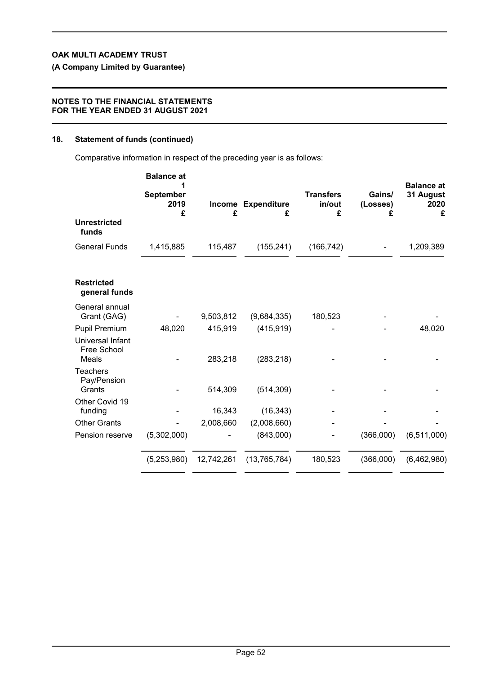**(A Company Limited by Guarantee)**

### **NOTES TO THE FINANCIAL STATEMENTS FOR THE YEAR ENDED 31 AUGUST 2021**

### **18. Statement of funds (continued)**

Comparative information in respect of the preceding year is as follows:

|                                                 | <b>Balance at</b><br>September<br>2019<br>£ | £          | Income Expenditure<br>£ | <b>Transfers</b><br>in/out<br>£ | Gains/<br>(Losses)<br>£ | <b>Balance at</b><br>31 August<br>2020<br>£ |
|-------------------------------------------------|---------------------------------------------|------------|-------------------------|---------------------------------|-------------------------|---------------------------------------------|
| <b>Unrestricted</b><br>funds                    |                                             |            |                         |                                 |                         |                                             |
| <b>General Funds</b>                            | 1,415,885                                   | 115,487    | (155, 241)              | (166, 742)                      |                         | 1,209,389                                   |
| <b>Restricted</b><br>general funds              |                                             |            |                         |                                 |                         |                                             |
| General annual<br>Grant (GAG)                   |                                             | 9,503,812  | (9,684,335)             | 180,523                         |                         |                                             |
| <b>Pupil Premium</b>                            | 48,020                                      | 415,919    | (415, 919)              |                                 |                         | 48,020                                      |
| Universal Infant<br>Free School<br><b>Meals</b> |                                             | 283,218    | (283, 218)              |                                 |                         |                                             |
| <b>Teachers</b><br>Pay/Pension<br>Grants        |                                             | 514,309    | (514, 309)              |                                 |                         |                                             |
| Other Covid 19<br>funding                       |                                             | 16,343     | (16, 343)               |                                 |                         |                                             |
| <b>Other Grants</b>                             |                                             | 2,008,660  | (2,008,660)             |                                 |                         |                                             |
| Pension reserve                                 | (5,302,000)                                 |            | (843,000)               |                                 | (366,000)               | (6, 511, 000)                               |
|                                                 | (5,253,980)                                 | 12,742,261 | (13,765,784)            | 180,523                         | (366,000)               | (6,462,980)                                 |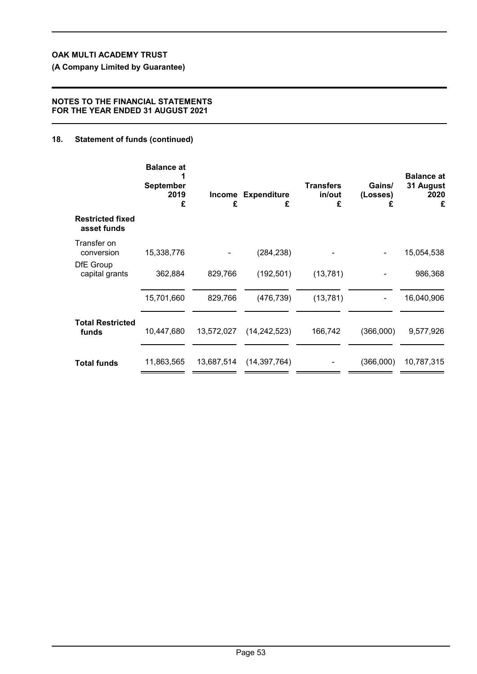**(A Company Limited by Guarantee)**

### **NOTES TO THE FINANCIAL STATEMENTS FOR THE YEAR ENDED 31 AUGUST 2021**

## **18. Statement of funds (continued)**

|                                        | <b>Balance at</b><br><b>September</b><br>2019<br>£ | Income<br>£ | <b>Expenditure</b><br>£ | <b>Transfers</b><br>in/out<br>£ | Gains/<br>(Losses)<br>£ | <b>Balance at</b><br>31 August<br>2020<br>£ |
|----------------------------------------|----------------------------------------------------|-------------|-------------------------|---------------------------------|-------------------------|---------------------------------------------|
| <b>Restricted fixed</b><br>asset funds |                                                    |             |                         |                                 |                         |                                             |
| Transfer on<br>conversion<br>DfE Group | 15,338,776                                         |             | (284, 238)              |                                 |                         | 15,054,538                                  |
| capital grants                         | 362,884                                            | 829,766     | (192, 501)              | (13, 781)                       |                         | 986,368                                     |
|                                        | 15,701,660                                         | 829,766     | (476, 739)              | (13, 781)                       | -                       | 16,040,906                                  |
| <b>Total Restricted</b><br>funds       | 10,447,680                                         | 13,572,027  | (14, 242, 523)          | 166,742                         | (366,000)               | 9,577,926                                   |
| <b>Total funds</b>                     | 11,863,565                                         | 13,687,514  | (14, 397, 764)          |                                 | (366,000)               | 10,787,315                                  |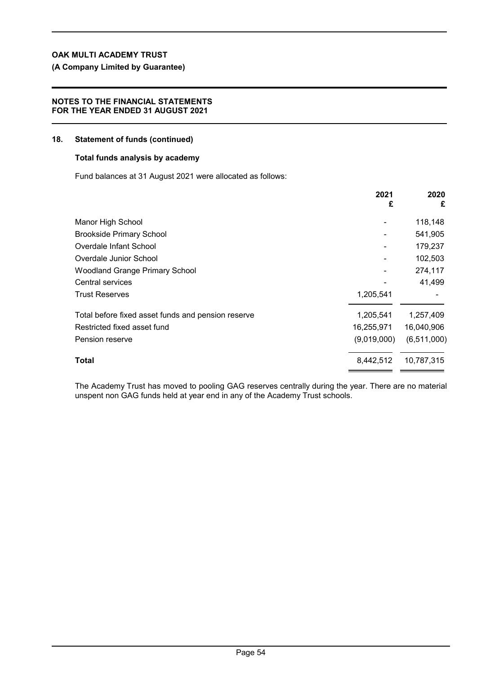## **(A Company Limited by Guarantee)**

### **NOTES TO THE FINANCIAL STATEMENTS FOR THE YEAR ENDED 31 AUGUST 2021**

#### **18. Statement of funds (continued)**

### **Total funds analysis by academy**

Fund balances at 31 August 2021 were allocated as follows:

|                                                    | 2021<br>£   | 2020<br>£     |
|----------------------------------------------------|-------------|---------------|
| Manor High School                                  |             | 118,148       |
| <b>Brookside Primary School</b>                    |             | 541,905       |
| Overdale Infant School                             |             | 179,237       |
| Overdale Junior School                             |             | 102,503       |
| Woodland Grange Primary School                     |             | 274,117       |
| Central services                                   |             | 41,499        |
| <b>Trust Reserves</b>                              | 1,205,541   |               |
| Total before fixed asset funds and pension reserve | 1,205,541   | 1,257,409     |
| Restricted fixed asset fund                        | 16,255,971  | 16,040,906    |
| Pension reserve                                    | (9,019,000) | (6, 511, 000) |
| Total                                              | 8,442,512   | 10,787,315    |

The Academy Trust has moved to pooling GAG reserves centrally during the year. There are no material unspent non GAG funds held at year end in any of the Academy Trust schools.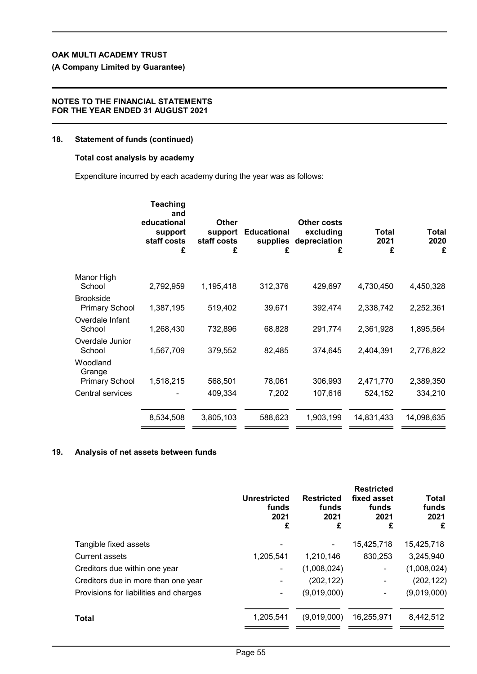**(A Company Limited by Guarantee)**

### **NOTES TO THE FINANCIAL STATEMENTS FOR THE YEAR ENDED 31 AUGUST 2021**

### **18. Statement of funds (continued)**

### **Total cost analysis by academy**

Expenditure incurred by each academy during the year was as follows:

|                                             | <b>Teaching</b><br>and<br>educational<br>support<br>staff costs<br>£ | <b>Other</b><br>support<br>staff costs<br>£ | <b>Educational</b><br>supplies<br>£ | Other costs<br>excluding<br>depreciation<br>£ | Total<br>2021<br>£ | Total<br>2020<br>£ |
|---------------------------------------------|----------------------------------------------------------------------|---------------------------------------------|-------------------------------------|-----------------------------------------------|--------------------|--------------------|
| Manor High<br>School                        | 2,792,959                                                            | 1,195,418                                   | 312,376                             | 429,697                                       | 4,730,450          | 4,450,328          |
| <b>Brookside</b><br><b>Primary School</b>   | 1,387,195                                                            | 519,402                                     | 39,671                              | 392,474                                       | 2,338,742          | 2,252,361          |
| Overdale Infant<br>School                   | 1,268,430                                                            | 732,896                                     | 68,828                              | 291,774                                       | 2,361,928          | 1,895,564          |
| Overdale Junior<br>School                   | 1,567,709                                                            | 379,552                                     | 82,485                              | 374,645                                       | 2,404,391          | 2,776,822          |
| Woodland<br>Grange<br><b>Primary School</b> | 1,518,215                                                            | 568,501                                     | 78,061                              | 306,993                                       | 2,471,770          | 2,389,350          |
| Central services                            |                                                                      | 409,334                                     | 7,202                               | 107,616                                       | 524,152            | 334,210            |
|                                             | 8,534,508                                                            | 3,805,103                                   | 588,623                             | 1,903,199                                     | 14,831,433         | 14,098,635         |
|                                             |                                                                      |                                             |                                     |                                               |                    |                    |

## **19. Analysis of net assets between funds**

|                                        | <b>Unrestricted</b><br>funds<br>2021<br>£ | <b>Restricted</b><br>funds<br>2021<br>£ | <b>Restricted</b><br>fixed asset<br>funds<br>2021<br>£ | <b>Total</b><br>funds<br>2021<br>£ |
|----------------------------------------|-------------------------------------------|-----------------------------------------|--------------------------------------------------------|------------------------------------|
| Tangible fixed assets                  |                                           |                                         | 15,425,718                                             | 15,425,718                         |
| Current assets                         | 1,205,541                                 | 1,210,146                               | 830,253                                                | 3,245,940                          |
| Creditors due within one year          |                                           | (1,008,024)                             | ۰                                                      | (1,008,024)                        |
| Creditors due in more than one year    |                                           | (202, 122)                              | $\blacksquare$                                         | (202, 122)                         |
| Provisions for liabilities and charges | ۰.                                        | (9,019,000)                             | ۰                                                      | (9,019,000)                        |
| <b>Total</b>                           | 1,205,541                                 | (9,019,000)                             | 16,255,971                                             | 8,442,512                          |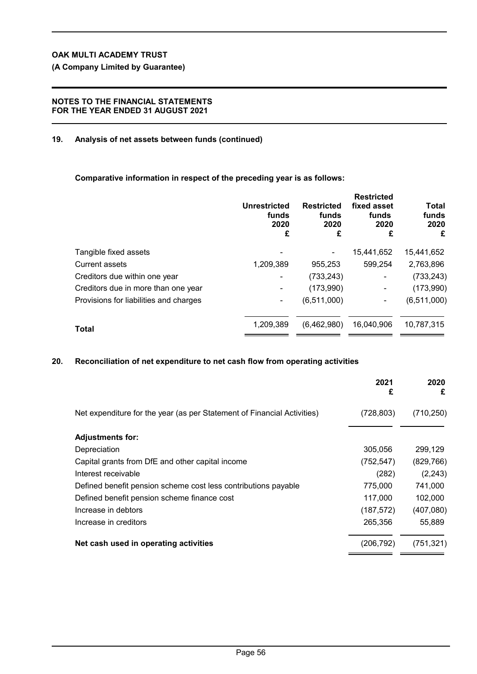**(A Company Limited by Guarantee)**

### **NOTES TO THE FINANCIAL STATEMENTS FOR THE YEAR ENDED 31 AUGUST 2021**

### **19. Analysis of net assets between funds (continued)**

**Comparative information in respect of the preceding year is as follows:**

|                                        | <b>Unrestricted</b><br>funds<br>2020<br>£ | <b>Restricted</b><br>funds<br>2020<br>£ | <b>Restricted</b><br>fixed asset<br>funds<br>2020<br>£ | Total<br>funds<br>2020<br>£ |
|----------------------------------------|-------------------------------------------|-----------------------------------------|--------------------------------------------------------|-----------------------------|
| Tangible fixed assets                  |                                           |                                         | 15,441,652                                             | 15,441,652                  |
| <b>Current assets</b>                  | 1,209,389                                 | 955,253                                 | 599,254                                                | 2,763,896                   |
| Creditors due within one year          |                                           | (733, 243)                              | ۰                                                      | (733, 243)                  |
| Creditors due in more than one year    |                                           | (173,990)                               | $\blacksquare$                                         | (173,990)                   |
| Provisions for liabilities and charges |                                           | (6,511,000)                             |                                                        | (6,511,000)                 |
| Total                                  | 1,209,389                                 | (6,462,980)                             | 16,040,906                                             | 10,787,315                  |
|                                        |                                           |                                         |                                                        |                             |

### **20. Reconciliation of net expenditure to net cash flow from operating activities**

|                                                                         | 2021<br>£  | 2020<br>£  |
|-------------------------------------------------------------------------|------------|------------|
| Net expenditure for the year (as per Statement of Financial Activities) | (728, 803) | (710, 250) |
| <b>Adjustments for:</b>                                                 |            |            |
| Depreciation                                                            | 305,056    | 299,129    |
| Capital grants from DfE and other capital income                        | (752, 547) | (829, 766) |
| Interest receivable                                                     | (282)      | (2, 243)   |
| Defined benefit pension scheme cost less contributions payable          | 775,000    | 741,000    |
| Defined benefit pension scheme finance cost                             | 117,000    | 102,000    |
| Increase in debtors                                                     | (187, 572) | (407,080)  |
| Increase in creditors                                                   | 265,356    | 55,889     |
| Net cash used in operating activities                                   | (206, 792) | (751, 321) |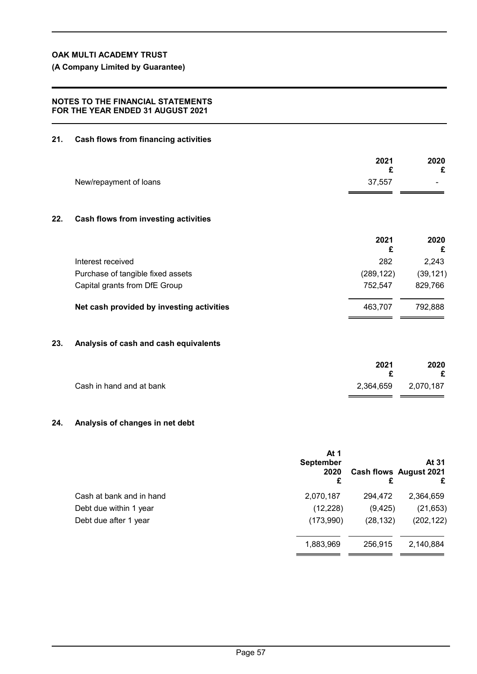**(A Company Limited by Guarantee)**

### **NOTES TO THE FINANCIAL STATEMENTS FOR THE YEAR ENDED 31 AUGUST 2021**

## **21. Cash flows from financing activities**

|     |                                           | 2021<br>£  | 2020<br>£ |
|-----|-------------------------------------------|------------|-----------|
|     | New/repayment of loans                    | 37,557     |           |
| 22. | Cash flows from investing activities      |            |           |
|     |                                           | 2021<br>£  | 2020<br>£ |
|     | Interest received                         | 282        | 2,243     |
|     | Purchase of tangible fixed assets         | (289, 122) | (39, 121) |
|     | Capital grants from DfE Group             | 752,547    | 829,766   |
|     | Net cash provided by investing activities | 463,707    | 792,888   |
| 23. | Analysis of cash and cash equivalents     |            |           |
|     |                                           | 2021<br>£  | 2020<br>£ |
|     | Cash in hand and at bank                  | 2,364,659  | 2,070,187 |

## **24. Analysis of changes in net debt**

|                          | At 1<br><b>September</b><br>2020<br>£ | £         | At 31<br>Cash flows August 2021<br>£ |
|--------------------------|---------------------------------------|-----------|--------------------------------------|
| Cash at bank and in hand | 2,070,187                             | 294,472   | 2,364,659                            |
| Debt due within 1 year   | (12, 228)                             | (9, 425)  | (21, 653)                            |
| Debt due after 1 year    | (173,990)                             | (28, 132) | (202, 122)                           |
|                          | 1,883,969                             | 256,915   | 2,140,884                            |

. a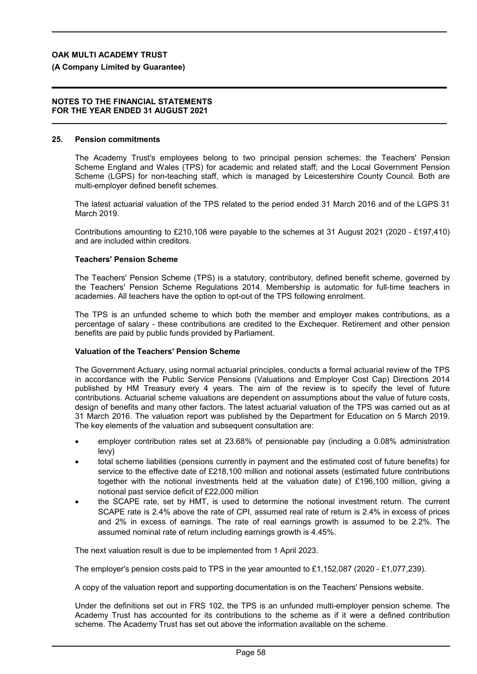**(A Company Limited by Guarantee)**

#### **NOTES TO THE FINANCIAL STATEMENTS FOR THE YEAR ENDED 31 AUGUST 2021**

#### **25. Pension commitments**

The Academy Trust's employees belong to two principal pension schemes: the Teachers' Pension Scheme England and Wales (TPS) for academic and related staff; and the Local Government Pension Scheme (LGPS) for non-teaching staff, which is managed by Leicestershire County Council. Both are multi-employer defined benefit schemes.

The latest actuarial valuation of the TPS related to the period ended 31 March 2016 and of the LGPS 31 March 2019.

Contributions amounting to £210,108 were payable to the schemes at 31 August 2021 (2020 - £197,410) and are included within creditors.

### **Teachers' Pension Scheme**

The Teachers' Pension Scheme (TPS) is a statutory, contributory, defined benefit scheme, governed by the Teachers' Pension Scheme Regulations 2014. Membership is automatic for full-time teachers in academies. All teachers have the option to opt-out of the TPS following enrolment.

The TPS is an unfunded scheme to which both the member and employer makes contributions, as a percentage of salary - these contributions are credited to the Exchequer. Retirement and other pension benefits are paid by public funds provided by Parliament.

### **Valuation of the Teachers' Pension Scheme**

The Government Actuary, using normal actuarial principles, conducts a formal actuarial review of the TPS in accordance with the Public Service Pensions (Valuations and Employer Cost Cap) Directions 2014 published by HM Treasury every 4 years. The aim of the review is to specify the level of future contributions. Actuarial scheme valuations are dependent on assumptions about the value of future costs, design of benefits and many other factors. The latest actuarial valuation of the TPS was carried out as at 31 March 2016. The valuation report was published by the Department for Education on 5 March 2019. The key elements of the valuation and subsequent consultation are:

- employer contribution rates set at 23.68% of pensionable pay (including a 0.08% administration levy)
- total scheme liabilities (pensions currently in payment and the estimated cost of future benefits) for service to the effective date of £218,100 million and notional assets (estimated future contributions together with the notional investments held at the valuation date) of £196,100 million, giving a notional past service deficit of £22,000 million
- the SCAPE rate, set by HMT, is used to determine the notional investment return. The current SCAPE rate is 2.4% above the rate of CPI, assumed real rate of return is 2.4% in excess of prices and 2% in excess of earnings. The rate of real earnings growth is assumed to be 2.2%. The assumed nominal rate of return including earnings growth is 4.45%.

The next valuation result is due to be implemented from 1 April 2023.

The employer's pension costs paid to TPS in the year amounted to £1,152,087 (2020 - £1,077,239).

A copy of the valuation report and supporting documentation is on the Teachers' Pensions website.

Under the definitions set out in FRS 102, the TPS is an unfunded multi-employer pension scheme. The Academy Trust has accounted for its contributions to the scheme as if it were a defined contribution scheme. The Academy Trust has set out above the information available on the scheme.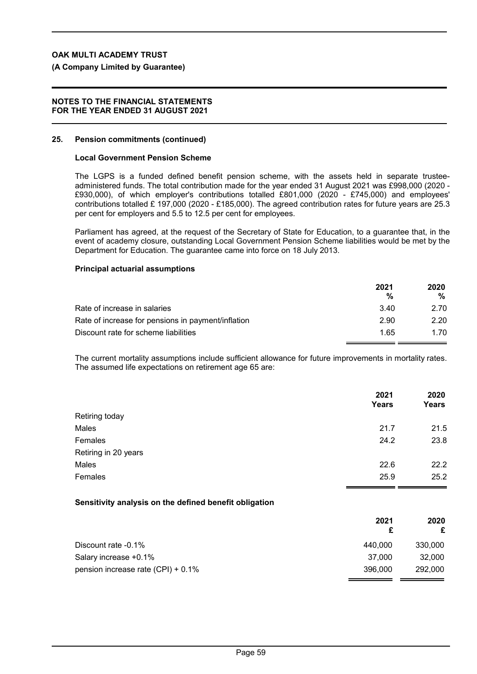### **(A Company Limited by Guarantee)**

#### **NOTES TO THE FINANCIAL STATEMENTS FOR THE YEAR ENDED 31 AUGUST 2021**

#### **25. Pension commitments (continued)**

#### **Local Government Pension Scheme**

The LGPS is a funded defined benefit pension scheme, with the assets held in separate trusteeadministered funds. The total contribution made for the year ended 31 August 2021 was £998,000 (2020 - £930,000), of which employer's contributions totalled £801,000 (2020 - £745,000) and employees' contributions totalled £ 197,000 (2020 - £185,000). The agreed contribution rates for future years are 25.3 per cent for employers and 5.5 to 12.5 per cent for employees.

Parliament has agreed, at the request of the Secretary of State for Education, to a guarantee that, in the event of academy closure, outstanding Local Government Pension Scheme liabilities would be met by the Department for Education. The guarantee came into force on 18 July 2013.

#### **Principal actuarial assumptions**

|                                                    | 2021<br>% | 2020<br>℅ |
|----------------------------------------------------|-----------|-----------|
| Rate of increase in salaries                       | 3.40      | 2.70      |
| Rate of increase for pensions in payment/inflation | 2.90      | 2.20      |
| Discount rate for scheme liabilities               | 1.65      | 1.70      |

The current mortality assumptions include sufficient allowance for future improvements in mortality rates. The assumed life expectations on retirement age 65 are:

|                      | 2021<br>Years | 2020<br><b>Years</b> |
|----------------------|---------------|----------------------|
| Retiring today       |               |                      |
| Males                | 21.7          | 21.5                 |
| Females              | 24.2          | 23.8                 |
| Retiring in 20 years |               |                      |
| Males                | 22.6          | 22.2                 |
| Females              | 25.9          | 25.2                 |
|                      |               |                      |

### **Sensitivity analysis on the defined benefit obligation**

|                                    | 2021    | 2020<br>£ |
|------------------------------------|---------|-----------|
| Discount rate -0.1%                | 440.000 | 330,000   |
| Salary increase +0.1%              | 37.000  | 32.000    |
| pension increase rate (CPI) + 0.1% | 396,000 | 292,000   |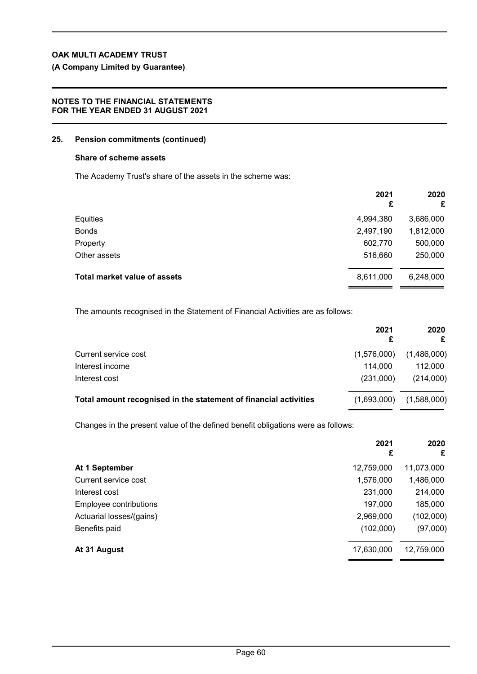## **(A Company Limited by Guarantee)**

### **NOTES TO THE FINANCIAL STATEMENTS FOR THE YEAR ENDED 31 AUGUST 2021**

### **25. Pension commitments (continued)**

### **Share of scheme assets**

The Academy Trust's share of the assets in the scheme was:

|                                     | 2021<br>£ | 2020<br>£ |
|-------------------------------------|-----------|-----------|
| Equities                            | 4,994,380 | 3,686,000 |
| <b>Bonds</b>                        | 2,497,190 | 1,812,000 |
| Property                            | 602,770   | 500,000   |
| Other assets                        | 516,660   | 250,000   |
| <b>Total market value of assets</b> | 8,611,000 | 6,248,000 |

The amounts recognised in the Statement of Financial Activities are as follows:

|                                                                  | 2021        | 2020        |
|------------------------------------------------------------------|-------------|-------------|
| Current service cost                                             | (1,576,000) | (1,486,000) |
| Interest income                                                  | 114.000     | 112.000     |
| Interest cost                                                    | (231.000)   | (214,000)   |
| Total amount recognised in the statement of financial activities | (1,693,000) | (1,588,000) |

Changes in the present value of the defined benefit obligations were as follows:

| 2021<br>£  | 2020<br>£  |
|------------|------------|
| 12,759,000 | 11,073,000 |
| 1,576,000  | 1,486,000  |
| 231,000    | 214,000    |
| 197,000    | 185,000    |
| 2,969,000  | (102,000)  |
| (102,000)  | (97,000)   |
| 17,630,000 | 12,759,000 |
|            |            |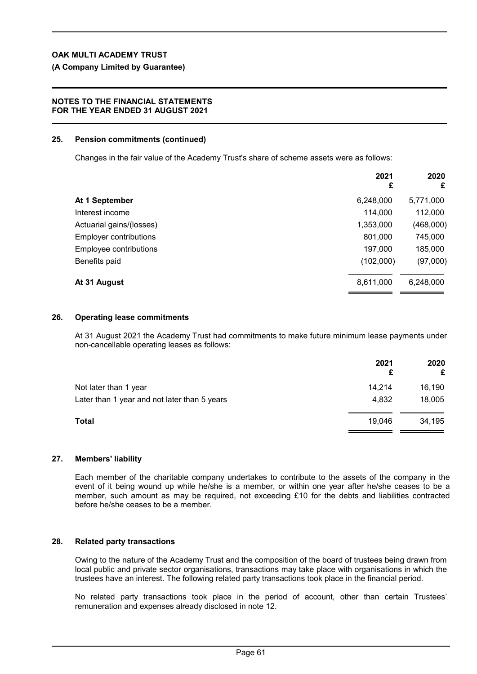## **(A Company Limited by Guarantee)**

## **NOTES TO THE FINANCIAL STATEMENTS FOR THE YEAR ENDED 31 AUGUST 2021**

## **25. Pension commitments (continued)**

Changes in the fair value of the Academy Trust's share of scheme assets were as follows:

|                               | 2021<br>£ | 2020<br>£ |
|-------------------------------|-----------|-----------|
| At 1 September                | 6,248,000 | 5,771,000 |
| Interest income               | 114,000   | 112,000   |
| Actuarial gains/(losses)      | 1,353,000 | (468,000) |
| <b>Employer contributions</b> | 801,000   | 745,000   |
| Employee contributions        | 197,000   | 185,000   |
| Benefits paid                 | (102,000) | (97,000)  |
| At 31 August                  | 8,611,000 | 6,248,000 |

## **26. Operating lease commitments**

At 31 August 2021 the Academy Trust had commitments to make future minimum lease payments under non-cancellable operating leases as follows:

|                                              | 2021<br>£ | 2020<br>£ |
|----------------------------------------------|-----------|-----------|
| Not later than 1 year                        | 14.214    | 16,190    |
| Later than 1 year and not later than 5 years | 4,832     | 18,005    |
| Total                                        | 19,046    | 34,195    |

## **27. Members' liability**

Each member of the charitable company undertakes to contribute to the assets of the company in the event of it being wound up while he/she is a member, or within one year after he/she ceases to be a member, such amount as may be required, not exceeding £10 for the debts and liabilities contracted before he/she ceases to be a member.

## **28. Related party transactions**

Owing to the nature of the Academy Trust and the composition of the board of trustees being drawn from local public and private sector organisations, transactions may take place with organisations in which the trustees have an interest. The following related party transactions took place in the financial period.

No related party transactions took place in the period of account, other than certain Trustees' remuneration and expenses already disclosed in note 12.